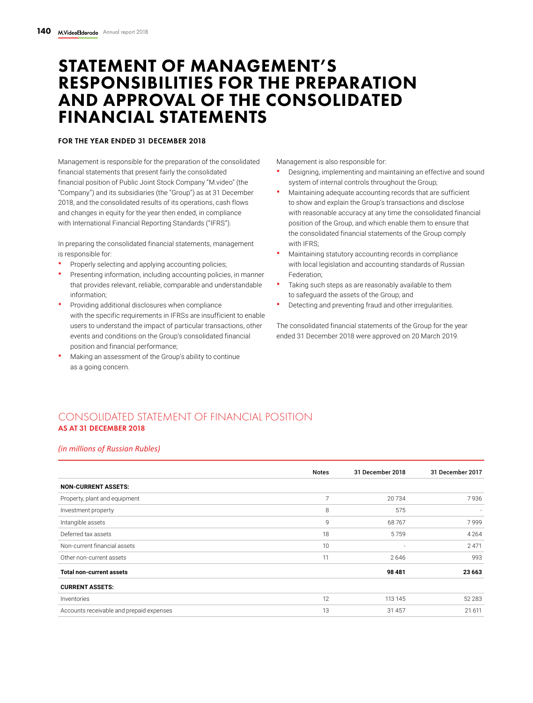# STATEMENT OF MANAGEMENT'S RESPONSIBILITIES FOR THE PREPARATION AND APPROVAL OF THE CONSOLIDATED FINANCIAL STATEMENTS

### FOR THE YEAR ENDED 31 DECEMBER 2018

Management is responsible for the preparation of the consolidated financial statements that present fairly the consolidated financial position of Public Joint Stock Company "M.video" (the "Company") and its subsidiaries (the "Group") as at 31 December 2018, and the consolidated results of its operations, cash flows and changes in equity for the year then ended, in compliance with International Financial Reporting Standards ("IFRS").

In preparing the consolidated financial statements, management is responsible for:

- **•** Properly selecting and applying accounting policies;
- **•** Presenting information, including accounting policies, in manner that provides relevant, reliable, comparable and understandable information;
- **•** Providing additional disclosures when compliance with the specific requirements in IFRSs are insufficient to enable users to understand the impact of particular transactions, other events and conditions on the Group's consolidated financial position and financial performance;
- **•** Making an assessment of the Group's ability to continue as a going concern.

Management is also responsible for:

- **•** Designing, implementing and maintaining an effective and sound system of internal controls throughout the Group;
- **•** Maintaining adequate accounting records that are sufficient to show and explain the Group's transactions and disclose with reasonable accuracy at any time the consolidated financial position of the Group, and which enable them to ensure that the consolidated financial statements of the Group comply with IFRS<sup>.</sup>
- **•** Maintaining statutory accounting records in compliance with local legislation and accounting standards of Russian Federation;
- **•** Taking such steps as are reasonably available to them to safeguard the assets of the Group; and
- **•** Detecting and preventing fraud and other irregularities.

The consolidated financial statements of the Group for the year ended 31 December 2018 were approved on 20 March 2019.

# CONSOLIDATED STATEMENT OF FINANCIAL POSITION AS AT 31 DECEMBER 2018

### *(in millions of Russian Rubles)*

|                                          | <b>Notes</b> | 31 December 2018         | 31 December 2017 |
|------------------------------------------|--------------|--------------------------|------------------|
| <b>NON-CURRENT ASSETS:</b>               |              |                          |                  |
| Property, plant and equipment            | 7            | 20734                    | 7936             |
| Investment property                      | 8            | 575                      | ٠                |
| Intangible assets                        | 9            | 68767                    | 7999             |
| Deferred tax assets                      | 18           | 5759                     | 4 2 6 4          |
| Non-current financial assets             | 10           | $\overline{\phantom{a}}$ | 2471             |
| Other non-current assets                 | 11           | 2646                     | 993              |
| <b>Total non-current assets</b>          |              | 98 481                   | 23 6 63          |
| <b>CURRENT ASSETS:</b>                   |              |                          |                  |
| Inventories                              | 12           | 113 145                  | 52 2 83          |
| Accounts receivable and prepaid expenses | 13           | 31 457                   | 21 611           |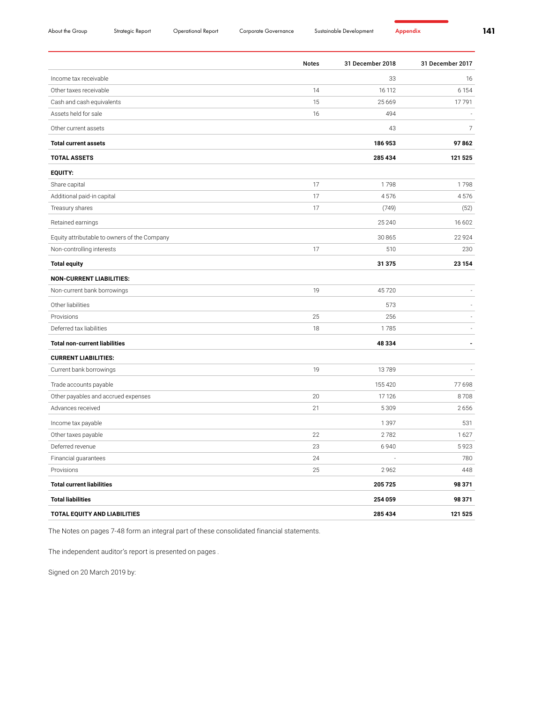|                                              | <b>Notes</b> | 31 December 2018 | 31 December 2017 |
|----------------------------------------------|--------------|------------------|------------------|
| Income tax receivable                        |              | 33               | 16               |
| Other taxes receivable                       | 14           | 16 112           | 6 1 5 4          |
| Cash and cash equivalents                    | 15           | 25 6 6 9         | 17791            |
| Assets held for sale                         | 16           | 494              |                  |
| Other current assets                         |              | 43               | $\overline{7}$   |
| <b>Total current assets</b>                  |              | 186953           | 97862            |
| <b>TOTAL ASSETS</b>                          |              | 285 434          | 121 525          |
| EQUITY:                                      |              |                  |                  |
| Share capital                                | 17           | 1798             | 1798             |
| Additional paid-in capital                   | 17           | 4576             | 4576             |
| Treasury shares                              | 17           | (749)            | (52)             |
| Retained earnings                            |              | 25 240           | 16 602           |
| Equity attributable to owners of the Company |              | 30865            | 22 9 24          |
| Non-controlling interests                    | 17           | 510              | 230              |
| <b>Total equity</b>                          |              | 31 375           | 23 154           |
| <b>NON-CURRENT LIABILITIES:</b>              |              |                  |                  |
| Non-current bank borrowings                  | 19           | 45720            |                  |
| Other liabilities                            |              | 573              |                  |
| Provisions                                   | 25           | 256              |                  |
| Deferred tax liabilities                     | 18           | 1785             |                  |
| <b>Total non-current liabilities</b>         |              | 48334            |                  |
| <b>CURRENT LIABILITIES:</b>                  |              |                  |                  |
| Current bank borrowings                      | 19           | 13789            |                  |
| Trade accounts payable                       |              | 155 420          | 77698            |
| Other payables and accrued expenses          | 20           | 17 126           | 8708             |
| Advances received                            | 21           | 5309             | 2656             |
| Income tax payable                           |              | 1397             | 531              |
| Other taxes payable                          | 22           | 2782             | 1627             |
| Deferred revenue                             | 23           | 6940             | 5923             |
| Financial guarantees                         | 24           |                  | 780              |
| Provisions                                   | 25           | 2962             | 448              |
| <b>Total current liabilities</b>             |              | 205725           | 98 371           |
| <b>Total liabilities</b>                     |              | 254 059          | 98 371           |
| TOTAL EQUITY AND LIABILITIES                 |              | 285 434          | 121 525          |

The Notes on pages 7-48 form an integral part of these consolidated financial statements.

The independent auditor's report is presented on pages .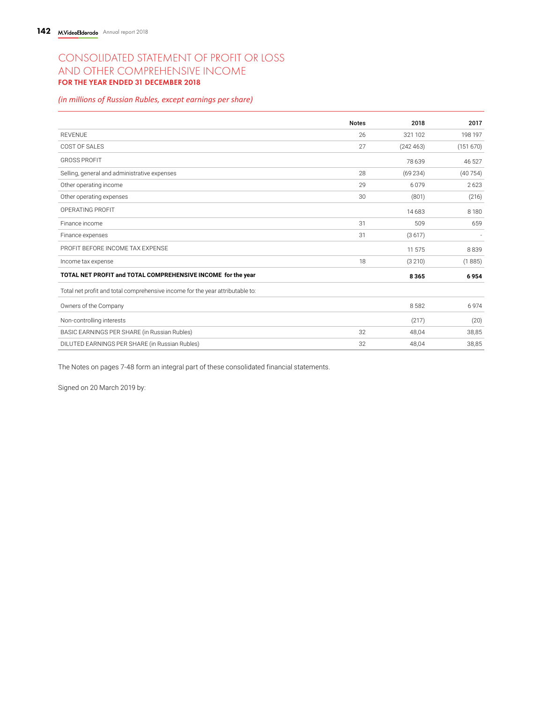# CONSOLIDATED STATEMENT OF PROFIT OR LOSS AND OTHER COMPREHENSIVE INCOME FOR THE YEAR ENDED 31 DECEMBER 2018

### *(in millions of Russian Rubles, except earnings per share)*

|                                                                               | <b>Notes</b> | 2018     | 2017     |
|-------------------------------------------------------------------------------|--------------|----------|----------|
| <b>REVENUE</b>                                                                | 26           | 321 102  | 198 197  |
| COST OF SALES                                                                 | 27           | (242463) | (151670) |
| <b>GROSS PROFIT</b>                                                           |              | 78 639   | 46 527   |
| Selling, general and administrative expenses                                  | 28           | (69234)  | (40754)  |
| Other operating income                                                        | 29           | 6079     | 2623     |
| Other operating expenses                                                      | 30           | (801)    | (216)    |
| OPERATING PROFIT                                                              |              | 14683    | 8 1 8 0  |
| Finance income                                                                | 31           | 509      | 659      |
| Finance expenses                                                              | 31           | (3617)   |          |
| PROFIT BEFORE INCOME TAX EXPENSE                                              |              | 11 575   | 8839     |
| Income tax expense                                                            | 18           | (3 210)  | (1885)   |
| TOTAL NET PROFIT and TOTAL COMPREHENSIVE INCOME for the year                  |              | 8365     | 6954     |
| Total net profit and total comprehensive income for the year attributable to: |              |          |          |
| Owners of the Company                                                         |              | 8582     | 6974     |
| Non-controlling interests                                                     |              | (217)    | (20)     |
| BASIC EARNINGS PER SHARE (in Russian Rubles)                                  | 32           | 48,04    | 38,85    |
| DILUTED EARNINGS PER SHARE (in Russian Rubles)                                | 32           | 48,04    | 38,85    |

The Notes on pages 7-48 form an integral part of these consolidated financial statements.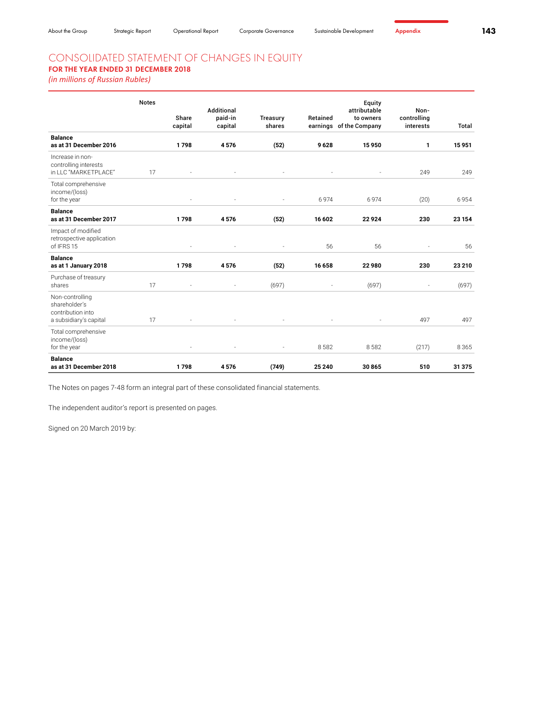# CONSOLIDATED STATEMENT OF CHANGES IN EQUITY

FOR THE YEAR ENDED 31 DECEMBER 2018

*(in millions of Russian Rubles)*

|                                                                                 | <b>Notes</b> |                  |                                         |                           |          | Equity                                               |                                  |         |
|---------------------------------------------------------------------------------|--------------|------------------|-----------------------------------------|---------------------------|----------|------------------------------------------------------|----------------------------------|---------|
|                                                                                 |              | Share<br>capital | <b>Additional</b><br>paid-in<br>capital | <b>Treasury</b><br>shares | Retained | attributable<br>to owners<br>earnings of the Company | Non-<br>controlling<br>interests | Total   |
| <b>Balance</b><br>as at 31 December 2016                                        |              | 1798             | 4576                                    | (52)                      | 9628     | 15950                                                | 1                                | 15951   |
| Increase in non-<br>controlling interests<br>in LLC "MARKETPLACE"               | 17           |                  |                                         |                           | ä,       |                                                      | 249                              | 249     |
| Total comprehensive<br>income/(loss)<br>for the year                            |              |                  |                                         |                           | 6974     | 6974                                                 | (20)                             | 6954    |
| <b>Balance</b><br>as at 31 December 2017                                        |              | 1798             | 4576                                    | (52)                      | 16 602   | 22924                                                | 230                              | 23 154  |
| Impact of modified<br>retrospective application<br>of IFRS 15                   |              |                  |                                         |                           | 56       | 56                                                   |                                  | 56      |
| <b>Balance</b><br>as at 1 January 2018                                          |              | 1798             | 4576                                    | (52)                      | 16 658   | 22 980                                               | 230                              | 23 210  |
| Purchase of treasury<br>shares                                                  | 17           |                  |                                         | (697)                     |          | (697)                                                | ٠                                | (697)   |
| Non-controlling<br>shareholder's<br>contribution into<br>a subsidiary's capital | 17           |                  |                                         |                           |          |                                                      | 497                              | 497     |
| Total comprehensive<br>income/(loss)<br>for the year                            |              |                  |                                         |                           | 8582     | 8582                                                 | (217)                            | 8 3 6 5 |
| <b>Balance</b><br>as at 31 December 2018                                        |              | 1798             | 4576                                    | (749)                     | 25 240   | 30865                                                | 510                              | 31 375  |

The Notes on pages 7-48 form an integral part of these consolidated financial statements.

The independent auditor's report is presented on pages.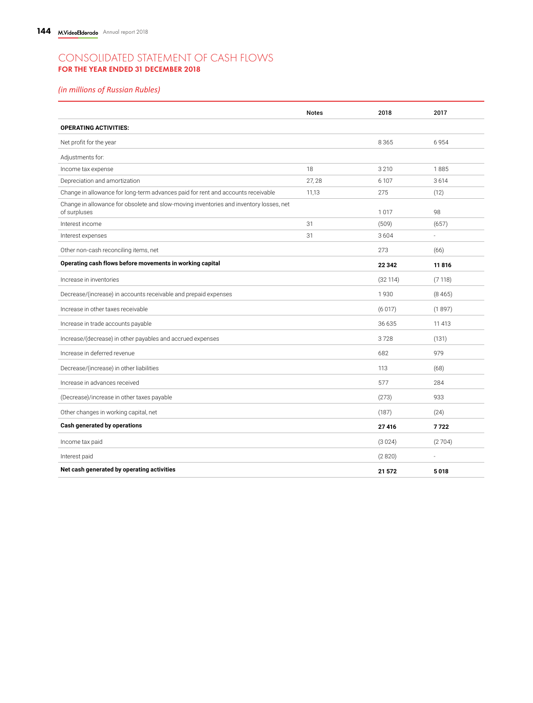# CONSOLIDATED STATEMENT OF CASH FLOWS FOR THE YEAR ENDED 31 DECEMBER 2018

### *(in millions of Russian Rubles)*

|                                                                                                        | <b>Notes</b> | 2018     | 2017   |
|--------------------------------------------------------------------------------------------------------|--------------|----------|--------|
| <b>OPERATING ACTIVITIES:</b>                                                                           |              |          |        |
| Net profit for the year                                                                                |              | 8365     | 6954   |
| Adjustments for:                                                                                       |              |          |        |
| Income tax expense                                                                                     | 18           | 3 2 1 0  | 1885   |
| Depreciation and amortization                                                                          | 27.28        | 6 10 7   | 3614   |
| Change in allowance for long-term advances paid for rent and accounts receivable                       | 11,13        | 275      | (12)   |
| Change in allowance for obsolete and slow-moving inventories and inventory losses, net<br>of surpluses |              | 1017     | 98     |
| Interest income                                                                                        | 31           | (509)    | (657)  |
| Interest expenses                                                                                      | 31           | 3604     |        |
| Other non-cash reconciling items, net                                                                  |              | 273      | (66)   |
| Operating cash flows before movements in working capital                                               |              | 22 3 4 2 | 11816  |
| Increase in inventories                                                                                |              | (32114)  | (7118) |
| Decrease/(increase) in accounts receivable and prepaid expenses                                        |              | 1930     | (8465) |
| Increase in other taxes receivable                                                                     |              | (6017)   | (1897) |
| Increase in trade accounts payable                                                                     |              | 36 635   | 11 413 |
| Increase/(decrease) in other payables and accrued expenses                                             |              | 3728     | (131)  |
| Increase in deferred revenue                                                                           |              | 682      | 979    |
| Decrease/(increase) in other liabilities                                                               |              | 113      | (68)   |
| Increase in advances received                                                                          |              | 577      | 284    |
| (Decrease)/increase in other taxes payable                                                             |              | (273)    | 933    |
| Other changes in working capital, net                                                                  |              | (187)    | (24)   |
| Cash generated by operations                                                                           |              | 27416    | 7722   |
| Income tax paid                                                                                        |              | (3024)   | (2704) |
| Interest paid                                                                                          |              | (2820)   |        |
| Net cash generated by operating activities                                                             |              | 21 572   | 5018   |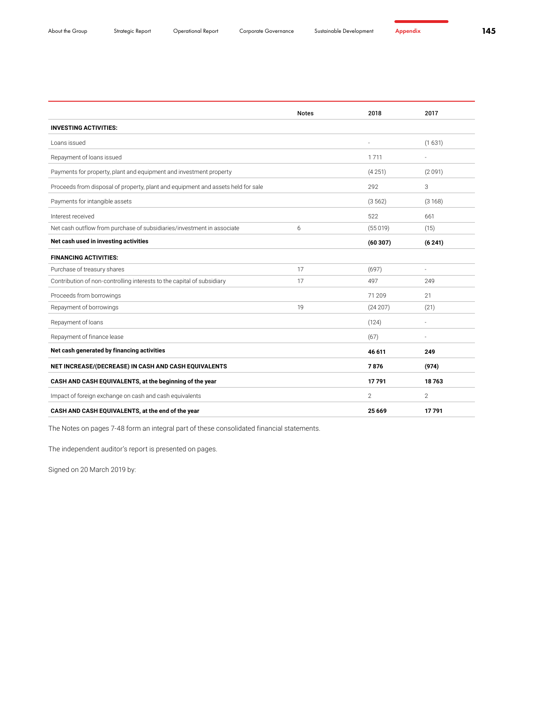|                                                                                  | <b>Notes</b> | 2018           | 2017           |
|----------------------------------------------------------------------------------|--------------|----------------|----------------|
| <b>INVESTING ACTIVITIES:</b>                                                     |              |                |                |
| Loans issued                                                                     |              |                | (1631)         |
| Repayment of loans issued                                                        |              | 1711           |                |
| Payments for property, plant and equipment and investment property               |              | (4251)         | (2091)         |
| Proceeds from disposal of property, plant and equipment and assets held for sale |              | 292            | 3              |
| Payments for intangible assets                                                   |              | (3562)         | (3168)         |
| Interest received                                                                |              | 522            | 661            |
| Net cash outflow from purchase of subsidiaries/investment in associate           | 6            | (55019)        | (15)           |
| Net cash used in investing activities                                            |              | (60307)        | (6241)         |
| <b>FINANCING ACTIVITIES:</b>                                                     |              |                |                |
| Purchase of treasury shares                                                      | 17           | (697)          |                |
| Contribution of non-controlling interests to the capital of subsidiary           | 17           | 497            | 249            |
| Proceeds from borrowings                                                         |              | 71 209         | 21             |
| Repayment of borrowings                                                          | 19           | (24207)        | (21)           |
| Repayment of loans                                                               |              | (124)          | ٠              |
| Repayment of finance lease                                                       |              | (67)           | ×,             |
| Net cash generated by financing activities                                       |              | 46 611         | 249            |
| NET INCREASE/(DECREASE) IN CASH AND CASH EQUIVALENTS                             |              | 7876           | (974)          |
| CASH AND CASH EQUIVALENTS, at the beginning of the year                          |              | 17791          | 18763          |
| Impact of foreign exchange on cash and cash equivalents                          |              | $\overline{2}$ | $\overline{2}$ |
| CASH AND CASH EQUIVALENTS, at the end of the year                                |              | 25 6 6 9       | 17791          |

The Notes on pages 7-48 form an integral part of these consolidated financial statements.

The independent auditor's report is presented on pages.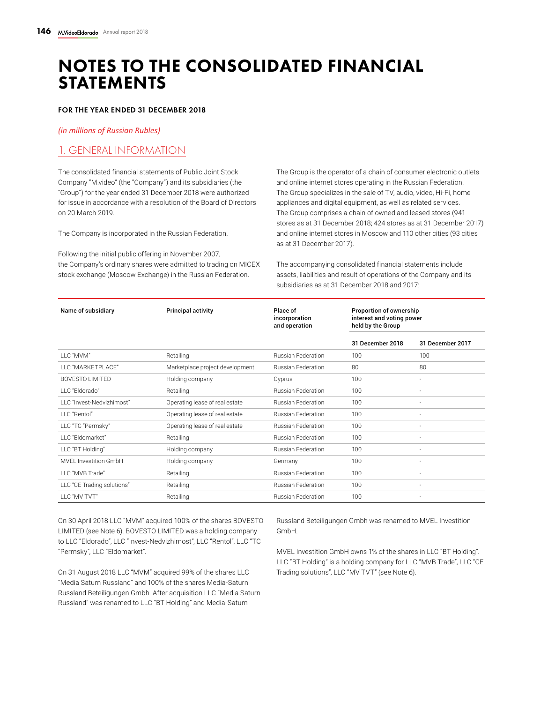# NOTES TO THE CONSOLIDATED FINANCIAL STATEMENTS

#### FOR THE YEAR ENDED 31 DECEMBER 2018

*(in millions of Russian Rubles)* 

# 1. GENERAL INFORMATION

The consolidated financial statements of Public Joint Stock Company "M.video" (the "Company") and its subsidiaries (the "Group") for the year ended 31 December 2018 were authorized for issue in accordance with a resolution of the Board of Directors on 20 March 2019.

The Company is incorporated in the Russian Federation.

Following the initial public offering in November 2007, the Company's ordinary shares were admitted to trading on MICEX stock exchange (Moscow Exchange) in the Russian Federation.

The Group is the operator of a chain of consumer electronic outlets and online internet stores operating in the Russian Federation. The Group specializes in the sale of TV, audio, video, Hi-Fi, home appliances and digital equipment, as well as related services. The Group comprises a chain of owned and leased stores (941 stores as at 31 December 2018; 424 stores as at 31 December 2017) and online internet stores in Moscow and 110 other cities (93 cities as at 31 December 2017).

The accompanying consolidated financial statements include assets, liabilities and result of operations of the Company and its subsidiaries as at 31 December 2018 and 2017:

| Name of subsidiary         | <b>Principal activity</b>       | Place of<br>incorporation<br>and operation | <b>Proportion of ownership</b><br>interest and voting power<br>held by the Group |                  |
|----------------------------|---------------------------------|--------------------------------------------|----------------------------------------------------------------------------------|------------------|
|                            |                                 |                                            | 31 December 2018                                                                 | 31 December 2017 |
| <b>ILC</b> "MVM"           | Retailing                       | <b>Russian Federation</b>                  | 100                                                                              | 100              |
| LLC "MARKETPLACE"          | Marketplace project development | <b>Russian Federation</b>                  | 80                                                                               | 80               |
| BOVESTO LIMITED            | Holding company                 | Cyprus                                     | 100                                                                              | ٠                |
| LLC "Fldorado"             | Retailing                       | <b>Russian Federation</b>                  | 100                                                                              | ٠                |
| LLC "Invest-Nedvizhimost"  | Operating lease of real estate  | <b>Russian Federation</b>                  | 100                                                                              | ٠                |
| <b>IIC</b> "Rentol"        | Operating lease of real estate  | Russian Federation                         | 100                                                                              | ٠                |
| LLC "TC "Permsky"          | Operating lease of real estate  | <b>Russian Federation</b>                  | 100                                                                              | ٠                |
| LLC "Eldomarket"           | Retailing                       | <b>Russian Federation</b>                  | 100                                                                              | ٠                |
| LLC "BT Holding"           | Holding company                 | <b>Russian Federation</b>                  | 100                                                                              |                  |
| MVEL Investition GmbH      | Holding company                 | Germany                                    | 100                                                                              |                  |
| <b>ILC</b> "MVB Trade"     | Retailing                       | <b>Russian Federation</b>                  | 100                                                                              | ٠                |
| LLC "CE Trading solutions" | Retailing                       | <b>Russian Federation</b>                  | 100                                                                              | ٠                |
| LLC "MV TVT"               | Retailing                       | <b>Russian Federation</b>                  | 100                                                                              | ٠                |

On 30 April 2018 LLC "MVM" acquired 100% of the shares BOVESTO LIMITED (see Note 6). BOVESTO LIMITED was a holding company to LLC "Eldorado", LLC "Invest-Nedvizhimost", LLC "Rentol", LLC "TC "Permsky", LLC "Eldomarket".

On 31 August 2018 LLC "MVM" acquired 99% of the shares LLC "Media Saturn Russland" and 100% of the shares Media-Saturn Russland Beteiligungen Gmbh. After acquisition LLC "Media Saturn Russland" was renamed to LLC "BT Holding" and Media-Saturn

Russland Beteiligungen Gmbh was renamed to MVEL Investition GmbH.

MVEL Investition GmbH owns 1% of the shares in LLC "BT Holding". LLC "BT Holding" is a holding company for LLC "MVB Trade", LLC "CE Trading solutions", LLC "MV TVT" (see Note 6).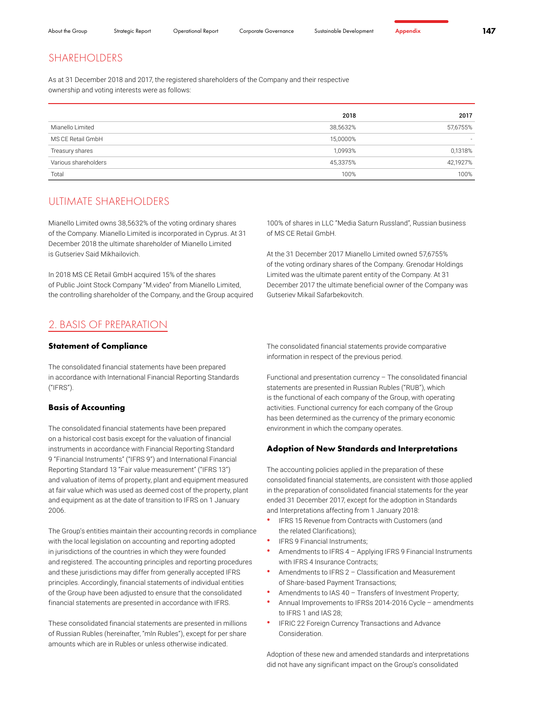### **SHARFHOLDERS**

As at 31 December 2018 and 2017, the registered shareholders of the Company and their respective ownership and voting interests were as follows:

|                      | 2018     | 2017     |
|----------------------|----------|----------|
| Mianello Limited     | 38,5632% | 57,6755% |
| MS CE Retail GmbH    | 15,0000% |          |
| Treasury shares      | 1,0993%  | 0,1318%  |
| Various shareholders | 45,3375% | 42,1927% |
| Total                | 100%     | 100%     |

# ULTIMATE SHAREHOLDERS

Mianello Limited owns 38,5632% of the voting ordinary shares of the Company. Mianello Limited is incorporated in Cyprus. At 31 December 2018 the ultimate shareholder of Mianello Limited is Gutseriev Said Mikhailovich.

In 2018 MS CE Retail GmbH acquired 15% of the shares of Public Joint Stock Company "M.video" from Mianello Limited, the controlling shareholder of the Company, and the Group acquired

### 100% of shares in LLC "Media Saturn Russland", Russian business of MS CE Retail GmbH.

At the 31 December 2017 Mianello Limited owned 57,6755% of the voting ordinary shares of the Company. Grenodar Holdings Limited was the ultimate parent entity of the Company. At 31 December 2017 the ultimate beneficial owner of the Company was Gutseriev Mikail Safarbekovitch.

# 2. BASIS OF PREPARATION

#### **Statement of Compliance**

The consolidated financial statements have been prepared in accordance with International Financial Reporting Standards ("IFRS").

### **Basis of Accounting**

The consolidated financial statements have been prepared on a historical cost basis except for the valuation of financial instruments in accordance with Financial Reporting Standard 9 "Financial Instruments" ("IFRS 9") and International Financial Reporting Standard 13 "Fair value measurement" ("IFRS 13") and valuation of items of property, plant and equipment measured at fair value which was used as deemed cost of the property, plant and equipment as at the date of transition to IFRS on 1 January 2006.

The Group's entities maintain their accounting records in compliance with the local legislation on accounting and reporting adopted in jurisdictions of the countries in which they were founded and registered. The accounting principles and reporting procedures and these jurisdictions may differ from generally accepted IFRS principles. Accordingly, financial statements of individual entities of the Group have been adjusted to ensure that the consolidated financial statements are presented in accordance with IFRS.

These consolidated financial statements are presented in millions of Russian Rubles (hereinafter, "mln Rubles"), except for per share amounts which are in Rubles or unless otherwise indicated.

The consolidated financial statements provide comparative information in respect of the previous period.

Functional and presentation currency – The consolidated financial statements are presented in Russian Rubles ("RUB"), which is the functional of each company of the Group, with operating activities. Functional currency for each company of the Group has been determined as the currency of the primary economic environment in which the company operates.

#### **Adoption of New Standards and Interpretations**

The accounting policies applied in the preparation of these consolidated financial statements, are consistent with those applied in the preparation of consolidated financial statements for the year ended 31 December 2017, except for the adoption in Standards and Interpretations affecting from 1 January 2018:

- **•** IFRS 15 Revenue from Contracts with Customers (and the related Clarifications);
- **•** IFRS 9 Financial Instruments;
- **•** Amendments to IFRS 4 Applying IFRS 9 Financial Instruments with IFRS 4 Insurance Contracts;
- **•** Amendments to IFRS 2 Classification and Measurement of Share-based Payment Transactions;
- **•** Amendments to IAS 40 Transfers of Investment Property;
- **•** Annual Improvements to IFRSs 2014-2016 Cycle amendments to IFRS 1 and IAS 28;
- **•** IFRIC 22 Foreign Currency Transactions and Advance Consideration.

Adoption of these new and amended standards and interpretations did not have any significant impact on the Group's consolidated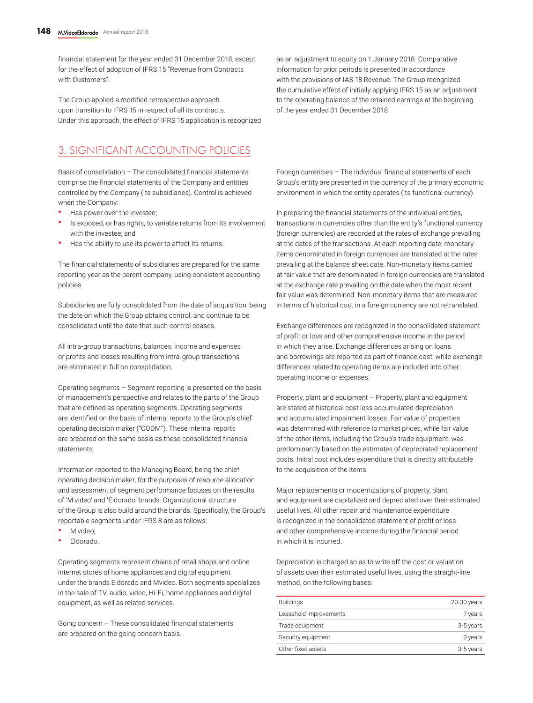financial statement for the year ended 31 December 2018, except for the effect of adoption of IFRS 15 "Revenue from Contracts with Customers".

The Group applied a modified retrospective approach upon transition to IFRS 15 in respect of all its contracts. Under this approach, the effect of IFRS 15 application is recognized

# 3. SIGNIFICANT ACCOUNTING POLICIES

Basis of consolidation – The consolidated financial statements comprise the financial statements of the Company and entities controlled by the Company (its subsidiaries). Control is achieved when the Company:

- **•** Has power over the investee;
- **•** Is exposed, or has rights, to variable returns from its involvement with the investee; and
- **•** Has the ability to use its power to affect its returns.

The financial statements of subsidiaries are prepared for the same reporting year as the parent company, using consistent accounting policies.

Subsidiaries are fully consolidated from the date of acquisition, being the date on which the Group obtains control, and continue to be consolidated until the date that such control ceases.

All intra-group transactions, balances, income and expenses or profits and losses resulting from intra-group transactions are eliminated in full on consolidation.

Operating segments – Segment reporting is presented on the basis of management's perspective and relates to the parts of the Group that are defined as operating segments. Operating segments are identified on the basis of internal reports to the Group's chief operating decision maker ("CODM"). These internal reports are prepared on the same basis as these consolidated financial statements.

Information reported to the Managing Board, being the chief operating decision maker, for the purposes of resource allocation and assessment of segment performance focuses on the results of 'M.video' and 'Eldorado' brands. Organizational structure of the Group is also build around the brands. Specifically, the Group's reportable segments under IFRS 8 are as follows:

- **•** M.video;
- **•** Eldorado.

Operating segments represent chains of retail shops and online internet stores of home appliances and digital equipment under the brands Eldorado and Mvideo. Both segments specializes in the sale of TV, audio, video, Hi-Fi, home appliances and digital equipment, as well as related services.

Going concern – These consolidated financial statements are prepared on the going concern basis.

as an adjustment to equity on 1 January 2018. Comparative information for prior periods is presented in accordance with the provisions of IAS 18 Revenue. The Group recognized the cumulative effect of initially applying IFRS 15 as an adjustment to the operating balance of the retained earnings at the beginning of the year ended 31 December 2018.

Foreign currencies – The individual financial statements of each Group's entity are presented in the currency of the primary economic environment in which the entity operates (its functional currency).

In preparing the financial statements of the individual entities, transactions in currencies other than the entity's functional currency (foreign currencies) are recorded at the rates of exchange prevailing at the dates of the transactions. At each reporting date, monetary items denominated in foreign currencies are translated at the rates prevailing at the balance sheet date. Non-monetary items carried at fair value that are denominated in foreign currencies are translated at the exchange rate prevailing on the date when the most recent fair value was determined. Non-monetary items that are measured in terms of historical cost in a foreign currency are not retranslated.

Exchange differences are recognized in the consolidated statement of profit or loss and other comprehensive income in the period in which they arise. Exchange differences arising on loans and borrowings are reported as part of finance cost, while exchange differences related to operating items are included into other operating income or expenses.

Property, plant and equipment – Property, plant and equipment are stated at historical cost less accumulated depreciation and accumulated impairment losses. Fair value of properties was determined with reference to market prices, while fair value of the other items, including the Group's trade equipment, was predominantly based on the estimates of depreciated replacement costs. Initial cost includes expenditure that is directly attributable to the acquisition of the items.

Major replacements or modernizations of property, plant and equipment are capitalized and depreciated over their estimated useful lives. All other repair and maintenance expenditure is recognized in the consolidated statement of profit or loss and other comprehensive income during the financial period in which it is incurred.

Depreciation is charged so as to write off the cost or valuation of assets over their estimated useful lives, using the straight-line method, on the following bases:

| <b>Buildings</b>       | 20-30 years |
|------------------------|-------------|
| Leasehold improvements | 7 years     |
| Trade equipment        | 3-5 years   |
| Security equipment     | 3 years     |
| Other fixed assets     | 3-5 years   |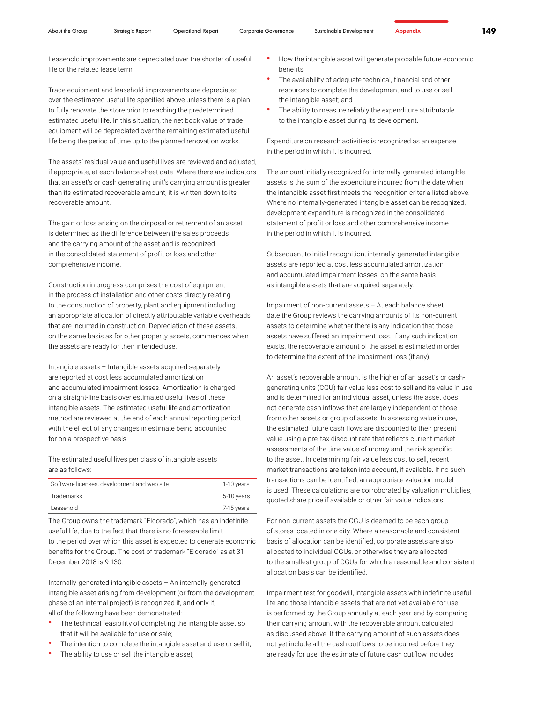Leasehold improvements are depreciated over the shorter of useful life or the related lease term.

Trade equipment and leasehold improvements are depreciated over the estimated useful life specified above unless there is a plan to fully renovate the store prior to reaching the predetermined estimated useful life. In this situation, the net book value of trade equipment will be depreciated over the remaining estimated useful life being the period of time up to the planned renovation works.

The assets' residual value and useful lives are reviewed and adjusted, if appropriate, at each balance sheet date. Where there are indicators that an asset's or cash generating unit's carrying amount is greater than its estimated recoverable amount, it is written down to its recoverable amount.

The gain or loss arising on the disposal or retirement of an asset is determined as the difference between the sales proceeds and the carrying amount of the asset and is recognized in the consolidated statement of profit or loss and other comprehensive income.

Construction in progress comprises the cost of equipment in the process of installation and other costs directly relating to the construction of property, plant and equipment including an appropriate allocation of directly attributable variable overheads that are incurred in construction. Depreciation of these assets, on the same basis as for other property assets, commences when the assets are ready for their intended use.

Intangible assets – Intangible assets acquired separately are reported at cost less accumulated amortization and accumulated impairment losses. Amortization is charged on a straight-line basis over estimated useful lives of these intangible assets. The estimated useful life and amortization method are reviewed at the end of each annual reporting period, with the effect of any changes in estimate being accounted for on a prospective basis.

The estimated useful lives per class of intangible assets are as follows:

| Software licenses, development and web site | 1-10 years |
|---------------------------------------------|------------|
| Trademarks                                  | 5-10 years |
| Leasehold                                   | 7-15 years |
|                                             |            |

The Group owns the trademark "Eldorado", which has an indefinite useful life, due to the fact that there is no foreseeable limit to the period over which this asset is expected to generate economic benefits for the Group. The cost of trademark "Eldorado" as at 31 December 2018 is 9 130.

Internally-generated intangible assets – An internally-generated intangible asset arising from development (or from the development phase of an internal project) is recognized if, and only if, all of the following have been demonstrated:

- **•** The technical feasibility of completing the intangible asset so that it will be available for use or sale;
- **•** The intention to complete the intangible asset and use or sell it;
- **•** The ability to use or sell the intangible asset;
- **•** How the intangible asset will generate probable future economic benefits;
- **•** The availability of adequate technical, financial and other resources to complete the development and to use or sell the intangible asset; and
- **•** The ability to measure reliably the expenditure attributable to the intangible asset during its development.

Expenditure on research activities is recognized as an expense in the period in which it is incurred.

The amount initially recognized for internally-generated intangible assets is the sum of the expenditure incurred from the date when the intangible asset first meets the recognition criteria listed above. Where no internally-generated intangible asset can be recognized, development expenditure is recognized in the consolidated statement of profit or loss and other comprehensive income in the period in which it is incurred.

Subsequent to initial recognition, internally-generated intangible assets are reported at cost less accumulated amortization and accumulated impairment losses, on the same basis as intangible assets that are acquired separately.

Impairment of non-current assets – At each balance sheet date the Group reviews the carrying amounts of its non-current assets to determine whether there is any indication that those assets have suffered an impairment loss. If any such indication exists, the recoverable amount of the asset is estimated in order to determine the extent of the impairment loss (if any).

An asset's recoverable amount is the higher of an asset's or cashgenerating units (CGU) fair value less cost to sell and its value in use and is determined for an individual asset, unless the asset does not generate cash inflows that are largely independent of those from other assets or group of assets. In assessing value in use, the estimated future cash flows are discounted to their present value using a pre-tax discount rate that reflects current market assessments of the time value of money and the risk specific to the asset. In determining fair value less cost to sell, recent market transactions are taken into account, if available. If no such transactions can be identified, an appropriate valuation model is used. These calculations are corroborated by valuation multiplies, quoted share price if available or other fair value indicators.

For non-current assets the CGU is deemed to be each group of stores located in one city. Where a reasonable and consistent basis of allocation can be identified, corporate assets are also allocated to individual CGUs, or otherwise they are allocated to the smallest group of CGUs for which a reasonable and consistent allocation basis can be identified.

Impairment test for goodwill, intangible assets with indefinite useful life and those intangible assets that are not yet available for use, is performed by the Group annually at each year-end by comparing their carrying amount with the recoverable amount calculated as discussed above. If the carrying amount of such assets does not yet include all the cash outflows to be incurred before they are ready for use, the estimate of future cash outflow includes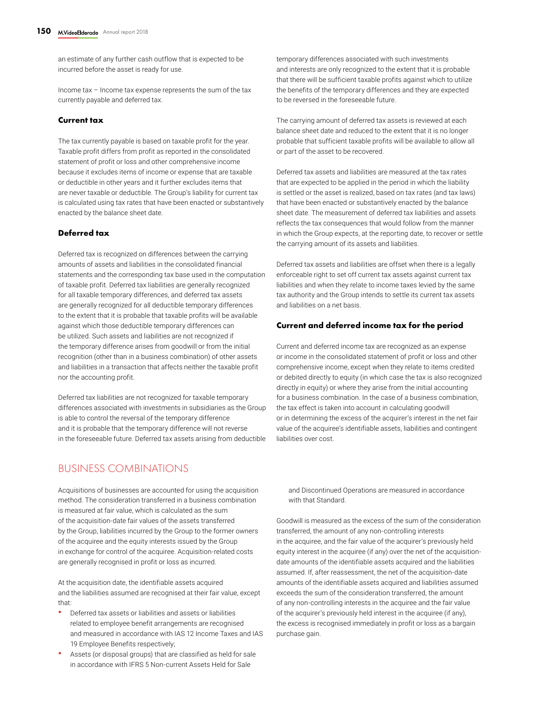an estimate of any further cash outflow that is expected to be incurred before the asset is ready for use.

Income tax – Income tax expense represents the sum of the tax currently payable and deferred tax.

### **Current tax**

The tax currently payable is based on taxable profit for the year. Taxable profit differs from profit as reported in the consolidated statement of profit or loss and other comprehensive income because it excludes items of income or expense that are taxable or deductible in other years and it further excludes items that are never taxable or deductible. The Group's liability for current tax is calculated using tax rates that have been enacted or substantively enacted by the balance sheet date.

#### **Deferred tax**

Deferred tax is recognized on differences between the carrying amounts of assets and liabilities in the consolidated financial statements and the corresponding tax base used in the computation of taxable profit. Deferred tax liabilities are generally recognized for all taxable temporary differences, and deferred tax assets are generally recognized for all deductible temporary differences to the extent that it is probable that taxable profits will be available against which those deductible temporary differences can be utilized. Such assets and liabilities are not recognized if the temporary difference arises from goodwill or from the initial recognition (other than in a business combination) of other assets and liabilities in a transaction that affects neither the taxable profit nor the accounting profit.

Deferred tax liabilities are not recognized for taxable temporary differences associated with investments in subsidiaries as the Group is able to control the reversal of the temporary difference and it is probable that the temporary difference will not reverse in the foreseeable future. Deferred tax assets arising from deductible

temporary differences associated with such investments and interests are only recognized to the extent that it is probable that there will be sufficient taxable profits against which to utilize the benefits of the temporary differences and they are expected to be reversed in the foreseeable future.

The carrying amount of deferred tax assets is reviewed at each balance sheet date and reduced to the extent that it is no longer probable that sufficient taxable profits will be available to allow all or part of the asset to be recovered.

Deferred tax assets and liabilities are measured at the tax rates that are expected to be applied in the period in which the liability is settled or the asset is realized, based on tax rates (and tax laws) that have been enacted or substantively enacted by the balance sheet date. The measurement of deferred tax liabilities and assets reflects the tax consequences that would follow from the manner in which the Group expects, at the reporting date, to recover or settle the carrying amount of its assets and liabilities.

Deferred tax assets and liabilities are offset when there is a legally enforceable right to set off current tax assets against current tax liabilities and when they relate to income taxes levied by the same tax authority and the Group intends to settle its current tax assets and liabilities on a net basis.

#### **Current and deferred income tax for the period**

Current and deferred income tax are recognized as an expense or income in the consolidated statement of profit or loss and other comprehensive income, except when they relate to items credited or debited directly to equity (in which case the tax is also recognized directly in equity) or where they arise from the initial accounting for a business combination. In the case of a business combination, the tax effect is taken into account in calculating goodwill or in determining the excess of the acquirer's interest in the net fair value of the acquiree's identifiable assets, liabilities and contingent liabilities over cost.

### BUSINESS COMBINATIONS

Acquisitions of businesses are accounted for using the acquisition method. The consideration transferred in a business combination is measured at fair value, which is calculated as the sum of the acquisition-date fair values of the assets transferred by the Group, liabilities incurred by the Group to the former owners of the acquiree and the equity interests issued by the Group in exchange for control of the acquiree. Acquisition-related costs are generally recognised in profit or loss as incurred.

At the acquisition date, the identifiable assets acquired and the liabilities assumed are recognised at their fair value, except that:

- **•** Deferred tax assets or liabilities and assets or liabilities related to employee benefit arrangements are recognised and measured in accordance with IAS 12 Income Taxes and IAS 19 Employee Benefits respectively;
- **•** Assets (or disposal groups) that are classified as held for sale in accordance with IFRS 5 Non-current Assets Held for Sale

and Discontinued Operations are measured in accordance with that Standard.

Goodwill is measured as the excess of the sum of the consideration transferred, the amount of any non-controlling interests in the acquiree, and the fair value of the acquirer's previously held equity interest in the acquiree (if any) over the net of the acquisitiondate amounts of the identifiable assets acquired and the liabilities assumed. If, after reassessment, the net of the acquisition-date amounts of the identifiable assets acquired and liabilities assumed exceeds the sum of the consideration transferred, the amount of any non-controlling interests in the acquiree and the fair value of the acquirer's previously held interest in the acquiree (if any), the excess is recognised immediately in profit or loss as a bargain purchase gain.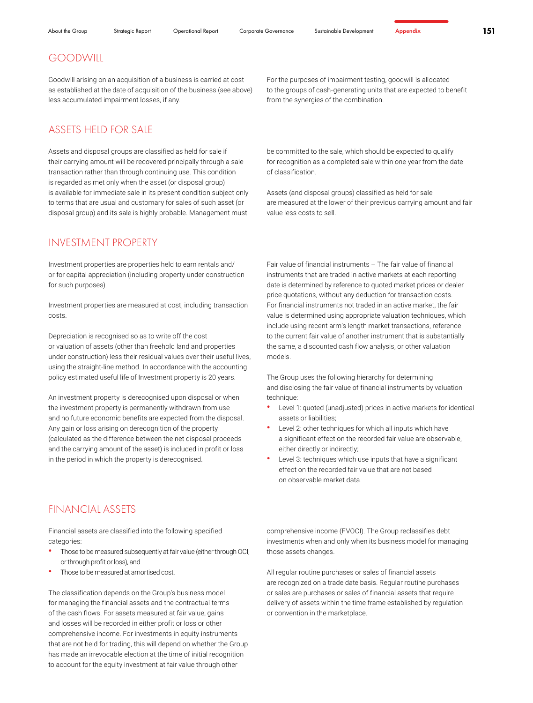### GOODWILL

Goodwill arising on an acquisition of a business is carried at cost as established at the date of acquisition of the business (see above) less accumulated impairment losses, if any.

# ASSETS HELD FOR SALE

Assets and disposal groups are classified as held for sale if their carrying amount will be recovered principally through a sale transaction rather than through continuing use. This condition is regarded as met only when the asset (or disposal group) is available for immediate sale in its present condition subject only to terms that are usual and customary for sales of such asset (or disposal group) and its sale is highly probable. Management must

### INVESTMENT PROPERTY

Investment properties are properties held to earn rentals and/ or for capital appreciation (including property under construction for such purposes).

Investment properties are measured at cost, including transaction costs.

Depreciation is recognised so as to write off the cost or valuation of assets (other than freehold land and properties under construction) less their residual values over their useful lives, using the straight-line method. In accordance with the accounting policy estimated useful life of Investment property is 20 years.

An investment property is derecognised upon disposal or when the investment property is permanently withdrawn from use and no future economic benefits are expected from the disposal. Any gain or loss arising on derecognition of the property (calculated as the difference between the net disposal proceeds and the carrying amount of the asset) is included in profit or loss in the period in which the property is derecognised.

For the purposes of impairment testing, goodwill is allocated to the groups of cash-generating units that are expected to benefit from the synergies of the combination.

be committed to the sale, which should be expected to qualify for recognition as a completed sale within one year from the date of classification.

Assets (and disposal groups) classified as held for sale are measured at the lower of their previous carrying amount and fair value less costs to sell.

Fair value of financial instruments – The fair value of financial instruments that are traded in active markets at each reporting date is determined by reference to quoted market prices or dealer price quotations, without any deduction for transaction costs. For financial instruments not traded in an active market, the fair value is determined using appropriate valuation techniques, which include using recent arm's length market transactions, reference to the current fair value of another instrument that is substantially the same, a discounted cash flow analysis, or other valuation models.

The Group uses the following hierarchy for determining and disclosing the fair value of financial instruments by valuation technique:

- **•** Level 1: quoted (unadjusted) prices in active markets for identical assets or liabilities;
- **•** Level 2: other techniques for which all inputs which have a significant effect on the recorded fair value are observable, either directly or indirectly;
- **•** Level 3: techniques which use inputs that have a significant effect on the recorded fair value that are not based on observable market data.

# FINANCIAL ASSETS

Financial assets are classified into the following specified categories:

- **•** Those to be measured subsequently at fair value (either through OCI, or through profit or loss), and
- **•** Those to be measured at amortised cost.

The classification depends on the Group's business model for managing the financial assets and the contractual terms of the cash flows. For assets measured at fair value, gains and losses will be recorded in either profit or loss or other comprehensive income. For investments in equity instruments that are not held for trading, this will depend on whether the Group has made an irrevocable election at the time of initial recognition to account for the equity investment at fair value through other

comprehensive income (FVOCI). The Group reclassifies debt investments when and only when its business model for managing those assets changes.

All regular routine purchases or sales of financial assets are recognized on a trade date basis. Regular routine purchases or sales are purchases or sales of financial assets that require delivery of assets within the time frame established by regulation or convention in the marketplace.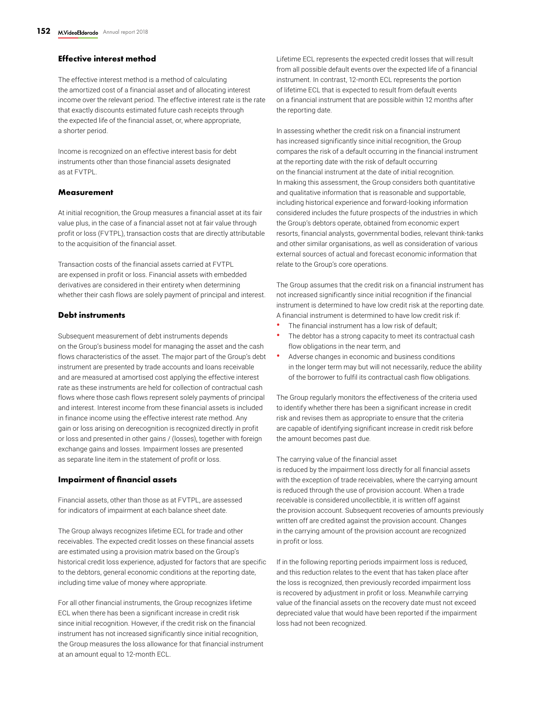### **Effective interest method**

The effective interest method is a method of calculating the amortized cost of a financial asset and of allocating interest income over the relevant period. The effective interest rate is the rate that exactly discounts estimated future cash receipts through the expected life of the financial asset, or, where appropriate, a shorter period.

Income is recognized on an effective interest basis for debt instruments other than those financial assets designated as at FVTPL.

#### **Measurement**

At initial recognition, the Group measures a financial asset at its fair value plus, in the case of a financial asset not at fair value through profit or loss (FVTPL), transaction costs that are directly attributable to the acquisition of the financial asset.

Transaction costs of the financial assets carried at FVTPL are expensed in profit or loss. Financial assets with embedded derivatives are considered in their entirety when determining whether their cash flows are solely payment of principal and interest.

#### **Debt instruments**

Subsequent measurement of debt instruments depends on the Group's business model for managing the asset and the cash flows characteristics of the asset. The major part of the Group's debt instrument are presented by trade accounts and loans receivable and are measured at amortised cost applying the effective interest rate as these instruments are held for collection of contractual cash flows where those cash flows represent solely payments of principal and interest. Interest income from these financial assets is included in finance income using the effective interest rate method. Any gain or loss arising on derecognition is recognized directly in profit or loss and presented in other gains / (losses), together with foreign exchange gains and losses. Impairment losses are presented as separate line item in the statement of profit or loss.

#### **Impairment of financial assets**

Financial assets, other than those as at FVTPL, are assessed for indicators of impairment at each balance sheet date.

The Group always recognizes lifetime ECL for trade and other receivables. The expected credit losses on these financial assets are estimated using a provision matrix based on the Group's historical credit loss experience, adjusted for factors that are specific to the debtors, general economic conditions at the reporting date, including time value of money where appropriate.

For all other financial instruments, the Group recognizes lifetime ECL when there has been a significant increase in credit risk since initial recognition. However, if the credit risk on the financial instrument has not increased significantly since initial recognition, the Group measures the loss allowance for that financial instrument at an amount equal to 12-month ECL.

Lifetime ECL represents the expected credit losses that will result from all possible default events over the expected life of a financial instrument. In contrast, 12-month ECL represents the portion of lifetime ECL that is expected to result from default events on a financial instrument that are possible within 12 months after the reporting date.

In assessing whether the credit risk on a financial instrument has increased significantly since initial recognition, the Group compares the risk of a default occurring in the financial instrument at the reporting date with the risk of default occurring on the financial instrument at the date of initial recognition. In making this assessment, the Group considers both quantitative and qualitative information that is reasonable and supportable, including historical experience and forward-looking information considered includes the future prospects of the industries in which the Group's debtors operate, obtained from economic expert resorts, financial analysts, governmental bodies, relevant think-tanks and other similar organisations, as well as consideration of various external sources of actual and forecast economic information that relate to the Group's core operations.

The Group assumes that the credit risk on a financial instrument has not increased significantly since initial recognition if the financial instrument is determined to have low credit risk at the reporting date. A financial instrument is determined to have low credit risk if:

- **•** The financial instrument has a low risk of default;
- **•** The debtor has a strong capacity to meet its contractual cash flow obligations in the near term, and
- **•** Adverse changes in economic and business conditions in the longer term may but will not necessarily, reduce the ability of the borrower to fulfil its contractual cash flow obligations.

The Group regularly monitors the effectiveness of the criteria used to identify whether there has been a significant increase in credit risk and revises them as appropriate to ensure that the criteria are capable of identifying significant increase in credit risk before the amount becomes past due.

#### The carrying value of the financial asset

is reduced by the impairment loss directly for all financial assets with the exception of trade receivables, where the carrying amount is reduced through the use of provision account. When a trade receivable is considered uncollectible, it is written off against the provision account. Subsequent recoveries of amounts previously written off are credited against the provision account. Changes in the carrying amount of the provision account are recognized in profit or loss.

If in the following reporting periods impairment loss is reduced, and this reduction relates to the event that has taken place after the loss is recognized, then previously recorded impairment loss is recovered by adjustment in profit or loss. Meanwhile carrying value of the financial assets on the recovery date must not exceed depreciated value that would have been reported if the impairment loss had not been recognized.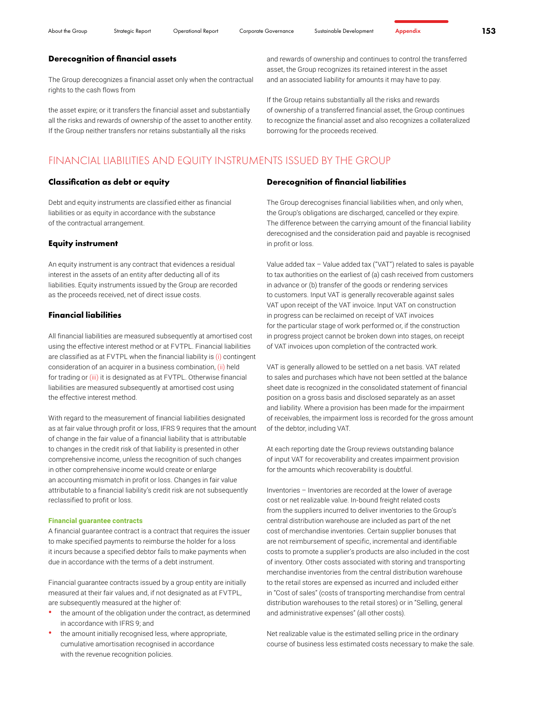### **Derecognition of financial assets**

The Group derecognizes a financial asset only when the contractual rights to the cash flows from

the asset expire; or it transfers the financial asset and substantially all the risks and rewards of ownership of the asset to another entity. If the Group neither transfers nor retains substantially all the risks

and rewards of ownership and continues to control the transferred asset, the Group recognizes its retained interest in the asset and an associated liability for amounts it may have to pay.

If the Group retains substantially all the risks and rewards of ownership of a transferred financial asset, the Group continues to recognize the financial asset and also recognizes a collateralized borrowing for the proceeds received.

# FINANCIAL LIABILITIES AND EQUITY INSTRUMENTS ISSUED BY THE GROUP

### **Classification as debt or equity**

Debt and equity instruments are classified either as financial liabilities or as equity in accordance with the substance of the contractual arrangement.

### **Equity instrument**

An equity instrument is any contract that evidences a residual interest in the assets of an entity after deducting all of its liabilities. Equity instruments issued by the Group are recorded as the proceeds received, net of direct issue costs.

### **Financial liabilities**

All financial liabilities are measured subsequently at amortised cost using the effective interest method or at FVTPL. Financial liabilities are classified as at FVTPL when the financial liability is (i) contingent consideration of an acquirer in a business combination, (ii) held for trading or (iii) it is designated as at FVTPL. Otherwise financial liabilities are measured subsequently at amortised cost using the effective interest method.

With regard to the measurement of financial liabilities designated as at fair value through profit or loss, IFRS 9 requires that the amount of change in the fair value of a financial liability that is attributable to changes in the credit risk of that liability is presented in other comprehensive income, unless the recognition of such changes in other comprehensive income would create or enlarge an accounting mismatch in profit or loss. Changes in fair value attributable to a financial liability's credit risk are not subsequently reclassified to profit or loss.

#### **Financial guarantee contracts**

A financial guarantee contract is a contract that requires the issuer to make specified payments to reimburse the holder for a loss it incurs because a specified debtor fails to make payments when due in accordance with the terms of a debt instrument.

Financial guarantee contracts issued by a group entity are initially measured at their fair values and, if not designated as at FVTPL, are subsequently measured at the higher of:

- **•** the amount of the obligation under the contract, as determined in accordance with IFRS 9; and
- **•** the amount initially recognised less, where appropriate, cumulative amortisation recognised in accordance with the revenue recognition policies.

#### **Derecognition of financial liabilities**

The Group derecognises financial liabilities when, and only when, the Group's obligations are discharged, cancelled or they expire. The difference between the carrying amount of the financial liability derecognised and the consideration paid and payable is recognised in profit or loss.

Value added tax – Value added tax ("VAT") related to sales is payable to tax authorities on the earliest of (a) cash received from customers in advance or (b) transfer of the goods or rendering services to customers. Input VAT is generally recoverable against sales VAT upon receipt of the VAT invoice. Input VAT on construction in progress can be reclaimed on receipt of VAT invoices for the particular stage of work performed or, if the construction in progress project cannot be broken down into stages, on receipt of VAT invoices upon completion of the contracted work.

VAT is generally allowed to be settled on a net basis. VAT related to sales and purchases which have not been settled at the balance sheet date is recognized in the consolidated statement of financial position on a gross basis and disclosed separately as an asset and liability. Where a provision has been made for the impairment of receivables, the impairment loss is recorded for the gross amount of the debtor, including VAT.

At each reporting date the Group reviews outstanding balance of input VAT for recoverability and creates impairment provision for the amounts which recoverability is doubtful.

Inventories – Inventories are recorded at the lower of average cost or net realizable value. In-bound freight related costs from the suppliers incurred to deliver inventories to the Group's central distribution warehouse are included as part of the net cost of merchandise inventories. Certain supplier bonuses that are not reimbursement of specific, incremental and identifiable costs to promote a supplier's products are also included in the cost of inventory. Other costs associated with storing and transporting merchandise inventories from the central distribution warehouse to the retail stores are expensed as incurred and included either in "Cost of sales" (costs of transporting merchandise from central distribution warehouses to the retail stores) or in "Selling, general and administrative expenses" (all other costs).

Net realizable value is the estimated selling price in the ordinary course of business less estimated costs necessary to make the sale.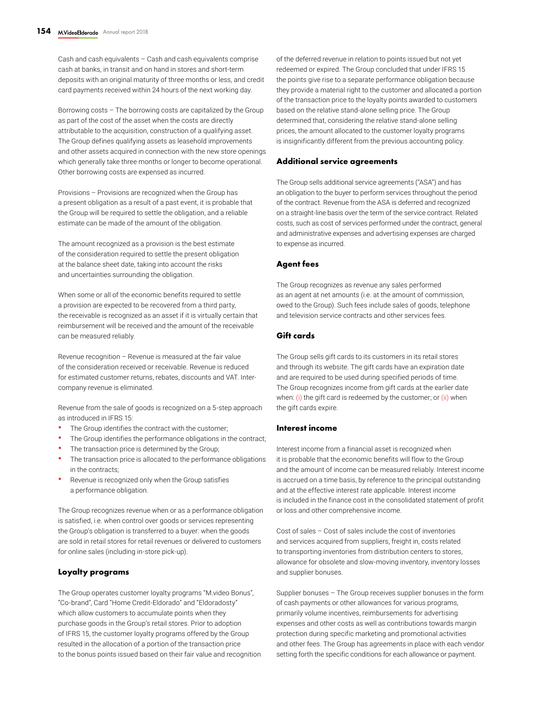Cash and cash equivalents – Cash and cash equivalents comprise cash at banks, in transit and on hand in stores and short-term deposits with an original maturity of three months or less, and credit card payments received within 24 hours of the next working day.

Borrowing costs – The borrowing costs are capitalized by the Group as part of the cost of the asset when the costs are directly attributable to the acquisition, construction of a qualifying asset. The Group defines qualifying assets as leasehold improvements and other assets acquired in connection with the new store openings which generally take three months or longer to become operational. Other borrowing costs are expensed as incurred.

Provisions – Provisions are recognized when the Group has a present obligation as a result of a past event, it is probable that the Group will be required to settle the obligation, and a reliable estimate can be made of the amount of the obligation.

The amount recognized as a provision is the best estimate of the consideration required to settle the present obligation at the balance sheet date, taking into account the risks and uncertainties surrounding the obligation.

When some or all of the economic benefits required to settle a provision are expected to be recovered from a third party, the receivable is recognized as an asset if it is virtually certain that reimbursement will be received and the amount of the receivable can be measured reliably.

Revenue recognition – Revenue is measured at the fair value of the consideration received or receivable. Revenue is reduced for estimated customer returns, rebates, discounts and VAT. Intercompany revenue is eliminated.

Revenue from the sale of goods is recognized on a 5-step approach as introduced in IFRS 15:

- **•** The Group identifies the contract with the customer;
- **•** The Group identifies the performance obligations in the contract;
- **•** The transaction price is determined by the Group;
- **•** The transaction price is allocated to the performance obligations in the contracts;
- **•** Revenue is recognized only when the Group satisfies a performance obligation.

The Group recognizes revenue when or as a performance obligation is satisfied, i.e. when control over goods or services representing the Group's obligation is transferred to a buyer: when the goods are sold in retail stores for retail revenues or delivered to customers for online sales (including in-store pick-up).

### **Loyalty programs**

The Group operates customer loyalty programs "M.video Bonus", "Co-brand", Card "Home Credit-Eldorado" and "Eldoradosty" which allow customers to accumulate points when they purchase goods in the Group's retail stores. Prior to adoption of IFRS 15, the customer loyalty programs offered by the Group resulted in the allocation of a portion of the transaction price to the bonus points issued based on their fair value and recognition of the deferred revenue in relation to points issued but not yet redeemed or expired. The Group concluded that under IFRS 15 the points give rise to a separate performance obligation because they provide a material right to the customer and allocated a portion of the transaction price to the loyalty points awarded to customers based on the relative stand-alone selling price. The Group determined that, considering the relative stand-alone selling prices, the amount allocated to the customer loyalty programs is insignificantly different from the previous accounting policy.

#### **Additional service agreements**

The Group sells additional service agreements ("ASA") and has an obligation to the buyer to perform services throughout the period of the contract. Revenue from the ASA is deferred and recognized on a straight-line basis over the term of the service contract. Related costs, such as cost of services performed under the contract, general and administrative expenses and advertising expenses are charged to expense as incurred.

#### **Agent fees**

The Group recognizes as revenue any sales performed as an agent at net amounts (i.e. at the amount of commission, owed to the Group). Such fees include sales of goods, telephone and television service contracts and other services fees.

#### **Gift cards**

The Group sells gift cards to its customers in its retail stores and through its website. The gift cards have an expiration date and are required to be used during specified periods of time. The Group recognizes income from gift cards at the earlier date when:  $(i)$  the gift card is redeemed by the customer; or  $(ii)$  when the gift cards expire.

#### **Interest income**

Interest income from a financial asset is recognized when it is probable that the economic benefits will flow to the Group and the amount of income can be measured reliably. Interest income is accrued on a time basis, by reference to the principal outstanding and at the effective interest rate applicable. Interest income is included in the finance cost in the consolidated statement of profit or loss and other comprehensive income.

Cost of sales – Cost of sales include the cost of inventories and services acquired from suppliers, freight in, costs related to transporting inventories from distribution centers to stores, allowance for obsolete and slow-moving inventory, inventory losses and supplier bonuses.

Supplier bonuses – The Group receives supplier bonuses in the form of cash payments or other allowances for various programs, primarily volume incentives, reimbursements for advertising expenses and other costs as well as contributions towards margin protection during specific marketing and promotional activities and other fees. The Group has agreements in place with each vendor setting forth the specific conditions for each allowance or payment.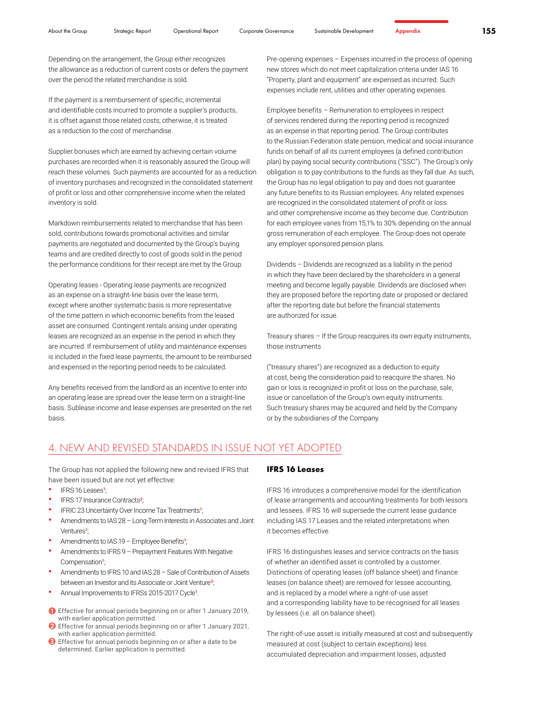Depending on the arrangement, the Group either recognizes the allowance as a reduction of current costs or defers the payment over the period the related merchandise is sold.

If the payment is a reimbursement of specific, incremental and identifiable costs incurred to promote a supplier's products, it is offset against those related costs; otherwise, it is treated as a reduction to the cost of merchandise.

Supplier bonuses which are earned by achieving certain volume purchases are recorded when it is reasonably assured the Group will reach these volumes. Such payments are accounted for as a reduction of inventory purchases and recognized in the consolidated statement of profit or loss and other comprehensive income when the related inventory is sold.

Markdown reimbursements related to merchandise that has been sold, contributions towards promotional activities and similar payments are negotiated and documented by the Group's buying teams and are credited directly to cost of goods sold in the period the performance conditions for their receipt are met by the Group.

Operating leases - Operating lease payments are recognized as an expense on a straight-line basis over the lease term, except where another systematic basis is more representative of the time pattern in which economic benefits from the leased asset are consumed. Contingent rentals arising under operating leases are recognized as an expense in the period in which they are incurred. If reimbursement of utility and maintenance expenses is included in the fixed lease payments, the amount to be reimbursed and expensed in the reporting period needs to be calculated.

Any benefits received from the landlord as an incentive to enter into an operating lease are spread over the lease term on a straight-line basis. Sublease income and lease expenses are presented on the net basis.

Pre-opening expenses – Expenses incurred in the process of opening new stores which do not meet capitalization criteria under IAS 16 "Property, plant and equipment" are expensed as incurred. Such expenses include rent, utilities and other operating expenses.

Employee benefits – Remuneration to employees in respect of services rendered during the reporting period is recognized as an expense in that reporting period. The Group contributes to the Russian Federation state pension, medical and social insurance funds on behalf of all its current employees (a defined contribution plan) by paying social security contributions ("SSC"). The Group's only obligation is to pay contributions to the funds as they fall due. As such, the Group has no legal obligation to pay and does not guarantee any future benefits to its Russian employees. Any related expenses are recognized in the consolidated statement of profit or loss and other comprehensive income as they become due. Contribution for each employee varies from 15,1% to 30% depending on the annual gross remuneration of each employee. The Group does not operate any employer sponsored pension plans.

Dividends – Dividends are recognized as a liability in the period in which they have been declared by the shareholders in a general meeting and become legally payable. Dividends are disclosed when they are proposed before the reporting date or proposed or declared after the reporting date but before the financial statements are authorized for issue.

Treasury shares – If the Group reacquires its own equity instruments, those instruments

("treasury shares") are recognized as a deduction to equity at cost, being the consideration paid to reacquire the shares. No gain or loss is recognized in profit or loss on the purchase, sale, issue or cancellation of the Group's own equity instruments. Such treasury shares may be acquired and held by the Company or by the subsidiaries of the Company.

### 4. NEW AND REVISED STANDARDS IN ISSUE NOT YET ADOPTED

The Group has not applied the following new and revised IFRS that have been issued but are not yet effective:

- **•** IFRS 16 Leases**<sup>1</sup>** ;
- **•** IFRS 17 Insurance Contracts**<sup>2</sup>**;
- **•** IFRIC 23 Uncertainty Over Income Tax Treatments**<sup>1</sup>** ;
- **•** Amendments to IAS 28 Long-Term Interests in Associates and Joint Ventures**<sup>1</sup>** ;
- **•** Amendments to IAS 19 Employee Benefits**<sup>1</sup>** ;
- **•** Amendments to IFRS 9 Prepayment Features With Negative Compensation**<sup>1</sup>** ;
- **•** Amendments to IFRS 10 and IAS 28 Sale of Contribution of Assets between an Investor and its Associate or Joint Venture**<sup>3</sup>**;
- **•** Annual Improvements to IFRSs 2015-2017 Cycle**<sup>1</sup>** .
- 1 Effective for annual periods beginning on or after 1 January 2019, with earlier application permitted.
- <sup>2</sup> Effective for annual periods beginning on or after 1 January 2021, with earlier application permitted.
- 3 Effective for annual periods beginning on or after a date to be determined. Earlier application is permitted.

#### **IFRS 16 Leases**

IFRS 16 introduces a comprehensive model for the identification of lease arrangements and accounting treatments for both lessors and lessees. IFRS 16 will supersede the current lease guidance including IAS 17 Leases and the related interpretations when it becomes effective.

IFRS 16 distinguishes leases and service contracts on the basis of whether an identified asset is controlled by a customer. Distinctions of operating leases (off balance sheet) and finance leases (on balance sheet) are removed for lessee accounting, and is replaced by a model where a right-of-use asset and a corresponding liability have to be recognised for all leases by lessees (i.e. all on balance sheet).

The right-of-use asset is initially measured at cost and subsequently measured at cost (subject to certain exceptions) less accumulated depreciation and impairment losses, adjusted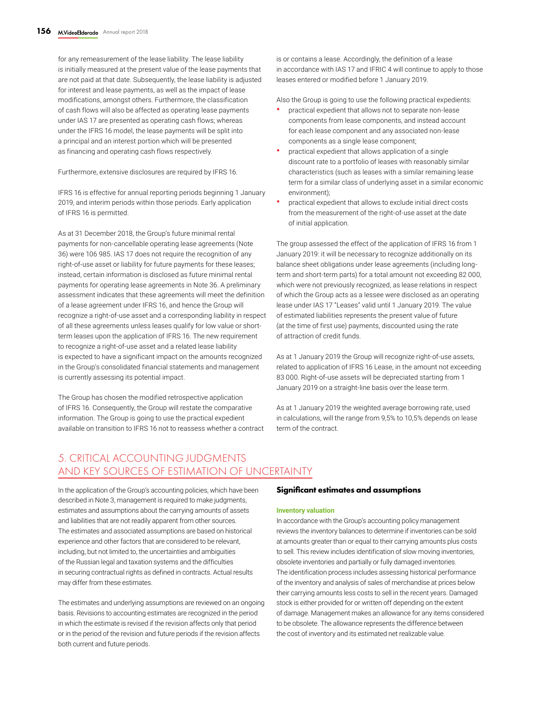for any remeasurement of the lease liability. The lease liability is initially measured at the present value of the lease payments that are not paid at that date. Subsequently, the lease liability is adjusted for interest and lease payments, as well as the impact of lease modifications, amongst others. Furthermore, the classification of cash flows will also be affected as operating lease payments under IAS 17 are presented as operating cash flows; whereas under the IFRS 16 model, the lease payments will be split into a principal and an interest portion which will be presented as financing and operating cash flows respectively.

Furthermore, extensive disclosures are required by IFRS 16.

IFRS 16 is effective for annual reporting periods beginning 1 January 2019, and interim periods within those periods. Early application of IFRS 16 is permitted.

As at 31 December 2018, the Group's future minimal rental payments for non-cancellable operating lease agreements (Note 36) were 106 985. IAS 17 does not require the recognition of any right-of-use asset or liability for future payments for these leases; instead, certain information is disclosed as future minimal rental payments for operating lease agreements in Note 36. A preliminary assessment indicates that these agreements will meet the definition of a lease agreement under IFRS 16, and hence the Group will recognize a right-of-use asset and a corresponding liability in respect of all these agreements unless leases qualify for low value or shortterm leases upon the application of IFRS 16. The new requirement to recognize a right-of-use asset and a related lease liability is expected to have a significant impact on the amounts recognized in the Group's consolidated financial statements and management is currently assessing its potential impact.

The Group has chosen the modified retrospective application of IFRS 16. Consequently, the Group will restate the comparative information. The Group is going to use the practical expedient available on transition to IFRS 16 not to reassess whether a contract is or contains a lease. Accordingly, the definition of a lease in accordance with IAS 17 and IFRIC 4 will continue to apply to those leases entered or modified before 1 January 2019.

Also the Group is going to use the following practical expedients:

- **•** practical expedient that allows not to separate non-lease components from lease components, and instead account for each lease component and any associated non-lease components as a single lease component;
- **•** practical expedient that allows application of a single discount rate to a portfolio of leases with reasonably similar characteristics (such as leases with a similar remaining lease term for a similar class of underlying asset in a similar economic environment);
- **•** practical expedient that allows to exclude initial direct costs from the measurement of the right-of-use asset at the date of initial application.

The group assessed the effect of the application of IFRS 16 from 1 January 2019: it will be necessary to recognize additionally on its balance sheet obligations under lease agreements (including longterm and short-term parts) for a total amount not exceeding 82 000, which were not previously recognized, as lease relations in respect of which the Group acts as a lessee were disclosed as an operating lease under IAS 17 "Leases" valid until 1 January 2019. The value of estimated liabilities represents the present value of future (at the time of first use) payments, discounted using the rate of attraction of credit funds.

As at 1 January 2019 the Group will recognize right-of-use assets, related to application of IFRS 16 Lease, in the amount not exceeding 83 000. Right-of-use assets will be depreciated starting from 1 January 2019 on a straight-line basis over the lease term.

As at 1 January 2019 the weighted average borrowing rate, used in calculations, will the range from 9,5% to 10,5% depends on lease term of the contract.

# 5. CRITICAL ACCOUNTING JUDGMENTS AND KEY SOURCES OF ESTIMATION OF UNCERTAINTY

In the application of the Group's accounting policies, which have been described in Note 3, management is required to make judgments, estimates and assumptions about the carrying amounts of assets and liabilities that are not readily apparent from other sources. The estimates and associated assumptions are based on historical experience and other factors that are considered to be relevant, including, but not limited to, the uncertainties and ambiguities of the Russian legal and taxation systems and the difficulties in securing contractual rights as defined in contracts. Actual results may differ from these estimates.

The estimates and underlying assumptions are reviewed on an ongoing basis. Revisions to accounting estimates are recognized in the period in which the estimate is revised if the revision affects only that period or in the period of the revision and future periods if the revision affects both current and future periods.

### **Significant estimates and assumptions**

#### **Inventory valuation**

In accordance with the Group's accounting policy management reviews the inventory balances to determine if inventories can be sold at amounts greater than or equal to their carrying amounts plus costs to sell. This review includes identification of slow moving inventories, obsolete inventories and partially or fully damaged inventories. The identification process includes assessing historical performance of the inventory and analysis of sales of merchandise at prices below their carrying amounts less costs to sell in the recent years. Damaged stock is either provided for or written off depending on the extent of damage. Management makes an allowance for any items considered to be obsolete. The allowance represents the difference between the cost of inventory and its estimated net realizable value.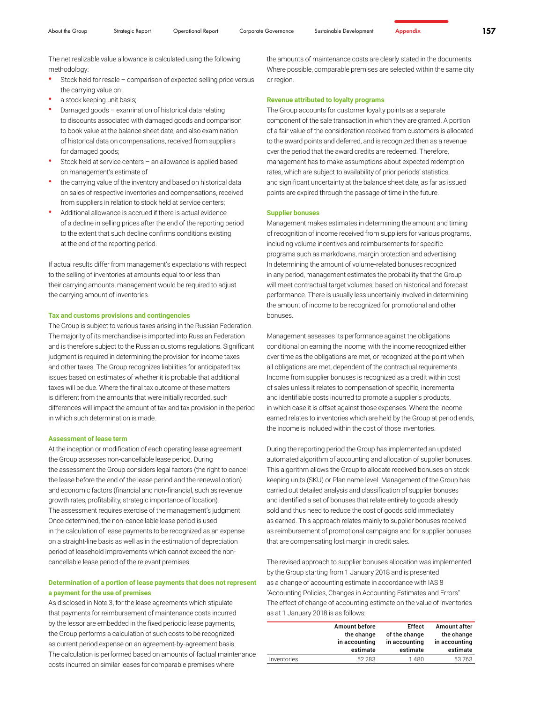The net realizable value allowance is calculated using the following methodology:

- **•** Stock held for resale comparison of expected selling price versus the carrying value on
- **•** a stock keeping unit basis;
- **•** Damaged goods examination of historical data relating to discounts associated with damaged goods and comparison to book value at the balance sheet date, and also examination of historical data on compensations, received from suppliers for damaged goods;
- **•** Stock held at service centers an allowance is applied based on management's estimate of
- **•** the carrying value of the inventory and based on historical data on sales of respective inventories and compensations, received from suppliers in relation to stock held at service centers;
- **•** Additional allowance is accrued if there is actual evidence of a decline in selling prices after the end of the reporting period to the extent that such decline confirms conditions existing at the end of the reporting period.

If actual results differ from management's expectations with respect to the selling of inventories at amounts equal to or less than their carrying amounts, management would be required to adjust the carrying amount of inventories.

#### **Tax and customs provisions and contingencies**

The Group is subject to various taxes arising in the Russian Federation. The majority of its merchandise is imported into Russian Federation and is therefore subject to the Russian customs regulations. Significant judgment is required in determining the provision for income taxes and other taxes. The Group recognizes liabilities for anticipated tax issues based on estimates of whether it is probable that additional taxes will be due. Where the final tax outcome of these matters is different from the amounts that were initially recorded, such differences will impact the amount of tax and tax provision in the period in which such determination is made.

#### **Assessment of lease term**

At the inception or modification of each operating lease agreement the Group assesses non-cancellable lease period. During the assessment the Group considers legal factors (the right to cancel the lease before the end of the lease period and the renewal option) and economic factors (financial and non-financial, such as revenue growth rates, profitability, strategic importance of location). The assessment requires exercise of the management's judgment. Once determined, the non-cancellable lease period is used in the calculation of lease payments to be recognized as an expense on a straight-line basis as well as in the estimation of depreciation period of leasehold improvements which cannot exceed the noncancellable lease period of the relevant premises.

#### **Determination of a portion of lease payments that does not represent a payment for the use of premises**

As disclosed in Note 3, for the lease agreements which stipulate that payments for reimbursement of maintenance costs incurred by the lessor are embedded in the fixed periodic lease payments, the Group performs a calculation of such costs to be recognized as current period expense on an agreement-by-agreement basis. The calculation is performed based on amounts of factual maintenance costs incurred on similar leases for comparable premises where

the amounts of maintenance costs are clearly stated in the documents. Where possible, comparable premises are selected within the same city or region.

#### **Revenue attributed to loyalty programs**

The Group accounts for customer loyalty points as a separate component of the sale transaction in which they are granted. A portion of a fair value of the consideration received from customers is allocated to the award points and deferred, and is recognized then as a revenue over the period that the award credits are redeemed. Therefore, management has to make assumptions about expected redemption rates, which are subject to availability of prior periods' statistics and significant uncertainty at the balance sheet date, as far as issued points are expired through the passage of time in the future.

#### **Supplier bonuses**

Management makes estimates in determining the amount and timing of recognition of income received from suppliers for various programs, including volume incentives and reimbursements for specific programs such as markdowns, margin protection and advertising. In determining the amount of volume-related bonuses recognized in any period, management estimates the probability that the Group will meet contractual target volumes, based on historical and forecast performance. There is usually less uncertainly involved in determining the amount of income to be recognized for promotional and other bonuses.

Management assesses its performance against the obligations conditional on earning the income, with the income recognized either over time as the obligations are met, or recognized at the point when all obligations are met, dependent of the contractual requirements. Income from supplier bonuses is recognized as a credit within cost of sales unless it relates to compensation of specific, incremental and identifiable costs incurred to promote a supplier's products, in which case it is offset against those expenses. Where the income earned relates to inventories which are held by the Group at period ends, the income is included within the cost of those inventories.

During the reporting period the Group has implemented an updated automated algorithm of accounting and allocation of supplier bonuses. This algorithm allows the Group to allocate received bonuses on stock keeping units (SKU) or Plan name level. Management of the Group has carried out detailed analysis and classification of supplier bonuses and identified a set of bonuses that relate entirely to goods already sold and thus need to reduce the cost of goods sold immediately as earned. This approach relates mainly to supplier bonuses received as reimbursement of promotional campaigns and for supplier bonuses that are compensating lost margin in credit sales.

The revised approach to supplier bonuses allocation was implemented by the Group starting from 1 January 2018 and is presented as a change of accounting estimate in accordance with IAS 8 "Accounting Policies, Changes in Accounting Estimates and Errors". The effect of change of accounting estimate on the value of inventories as at 1 January 2018 is as follows:

|             | Amount before | <b>Effect</b> | Amount after  |
|-------------|---------------|---------------|---------------|
|             | the change    | of the change | the change    |
|             | in accounting | in accounting | in accounting |
|             | estimate      | estimate      | estimate      |
| Inventories | 52 283        | 1480          | 53763         |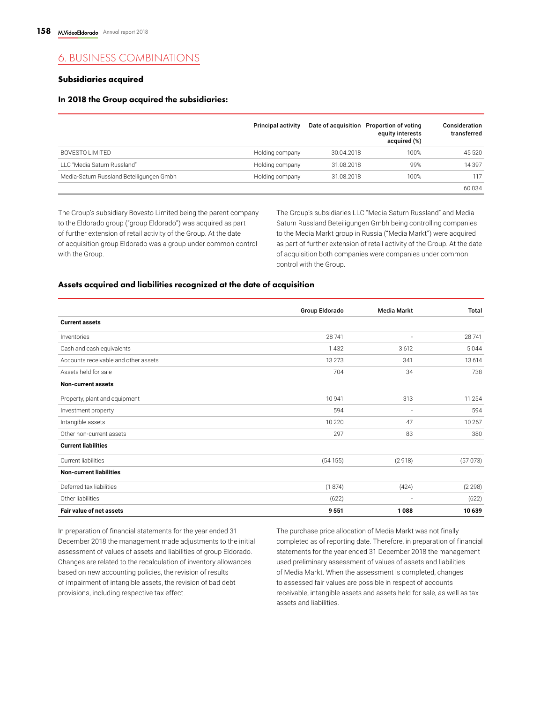# 6. BUSINESS COMBINATIONS

### **Subsidiaries acquired**

#### In 2018 the Group acquired the subsidiaries:

|                                          | <b>Principal activity</b> |            | Date of acquisition Proportion of voting<br>equity interests<br>acquired (%) | Consideration<br>transferred |
|------------------------------------------|---------------------------|------------|------------------------------------------------------------------------------|------------------------------|
| <b>BOVESTO LIMITED</b>                   | Holding company           | 30.04.2018 | 100%                                                                         | 45 5 20                      |
| LLC "Media Saturn Russland"              | Holding company           | 31.08.2018 | 99%                                                                          | 14397                        |
| Media-Saturn Russland Beteiligungen Gmbh | Holding company           | 31.08.2018 | 100%                                                                         | 117                          |
|                                          |                           |            |                                                                              | 60034                        |

The Group's subsidiary Bovesto Limited being the parent company to the Eldorado group ("group Eldorado") was acquired as part of further extension of retail activity of the Group. At the date of acquisition group Eldorado was a group under common control with the Group.

The Group's subsidiaries LLC "Media Saturn Russland" and Media-Saturn Russland Beteiligungen Gmbh being controlling companies to the Media Markt group in Russia ("Media Markt") were acquired as part of further extension of retail activity of the Group. At the date of acquisition both companies were companies under common control with the Group.

### Assets acquired and liabilities recognized at the date of acquisition

|                                      | Group Eldorado | Media Markt              | Total   |
|--------------------------------------|----------------|--------------------------|---------|
| <b>Current assets</b>                |                |                          |         |
| Inventories                          | 28741          | ×,                       | 28 741  |
| Cash and cash equivalents            | 1432           | 3612                     | 5044    |
| Accounts receivable and other assets | 13 2 7 3       | 341                      | 13614   |
| Assets held for sale                 | 704            | 34                       | 738     |
| Non-current assets                   |                |                          |         |
| Property, plant and equipment        | 10 941         | 313                      | 11 254  |
| Investment property                  | 594            | $\overline{\phantom{a}}$ | 594     |
| Intangible assets                    | 10 2 20        | 47                       | 10 267  |
| Other non-current assets             | 297            | 83                       | 380     |
| <b>Current liabilities</b>           |                |                          |         |
| Current liabilities                  | (54155)        | (2918)                   | (57073) |
| <b>Non-current liabilities</b>       |                |                          |         |
| Deferred tax liabilities             | (1874)         | (424)                    | (2 298) |
| Other liabilities                    | (622)          | $\sim$                   | (622)   |
| Fair value of net assets             | 9551           | 1088                     | 10 639  |

In preparation of financial statements for the year ended 31 December 2018 the management made adjustments to the initial assessment of values of assets and liabilities of group Eldorado. Changes are related to the recalculation of inventory allowances based on new accounting policies, the revision of results of impairment of intangible assets, the revision of bad debt provisions, including respective tax effect.

The purchase price allocation of Media Markt was not finally completed as of reporting date. Therefore, in preparation of financial statements for the year ended 31 December 2018 the management used preliminary assessment of values of assets and liabilities of Media Markt. When the assessment is completed, changes to assessed fair values are possible in respect of accounts receivable, intangible assets and assets held for sale, as well as tax assets and liabilities.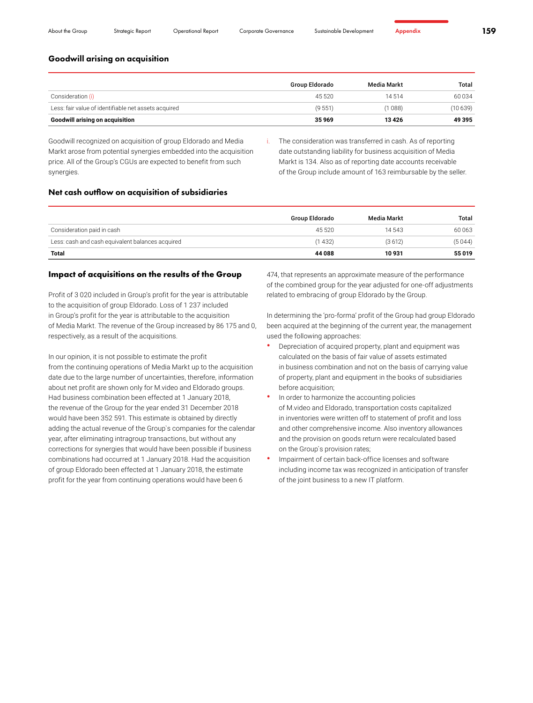### Goodwill arising on acquisition

|                                                      | Group Eldorado | Media Markt | <b>Total</b> |
|------------------------------------------------------|----------------|-------------|--------------|
| Consideration (i)                                    | 45 520         | 14 514      | 60034        |
| Less: fair value of identifiable net assets acquired | (9551)         | (1088)      | (10 639)     |
| Goodwill arising on acquisition                      | 35969          | 13426       | 49 395       |

Goodwill recognized on acquisition of group Eldorado and Media Markt arose from potential synergies embedded into the acquisition price. All of the Group's CGUs are expected to benefit from such synergies.

i. The consideration was transferred in cash. As of reporting date outstanding liability for business acquisition of Media Markt is 134. Also as of reporting date accounts receivable of the Group include amount of 163 reimbursable by the seller.

#### Net cash outflow on acquisition of subsidiaries

|                                                  | Group Eldorado | Media Markt | Total  |
|--------------------------------------------------|----------------|-------------|--------|
| Consideration paid in cash                       | 45 5 20        | 14543       | 60063  |
| Less: cash and cash equivalent balances acquired | (1432)         | (3612)      | (5044) |
| <b>Total</b>                                     | 44 088         | 10931       | 55019  |

#### **Impact of acquisitions on the results of the Group**

Profit of 3 020 included in Group's profit for the year is attributable to the acquisition of group Eldorado. Loss of 1 237 included in Group's profit for the year is attributable to the acquisition of Media Markt. The revenue of the Group increased by 86 175 and 0, respectively, as a result of the acquisitions.

In our opinion, it is not possible to estimate the profit from the continuing operations of Media Markt up to the acquisition date due to the large number of uncertainties, therefore, information about net profit are shown only for M.video and Eldorado groups. Had business combination been effected at 1 January 2018, the revenue of the Group for the year ended 31 December 2018 would have been 352 591. This estimate is obtained by directly adding the actual revenue of the Group`s companies for the calendar year, after eliminating intragroup transactions, but without any corrections for synergies that would have been possible if business combinations had occurred at 1 January 2018. Had the acquisition of group Eldorado been effected at 1 January 2018, the estimate profit for the year from continuing operations would have been 6

474, that represents an approximate measure of the performance of the combined group for the year adjusted for one-off adjustments related to embracing of group Eldorado by the Group.

In determining the 'pro-forma' profit of the Group had group Eldorado been acquired at the beginning of the current year, the management used the following approaches:

- **•** Depreciation of acquired property, plant and equipment was calculated on the basis of fair value of assets estimated in business combination and not on the basis of carrying value of property, plant and equipment in the books of subsidiaries before acquisition;
- **•** In order to harmonize the accounting policies of M.video and Eldorado, transportation costs capitalized in inventories were written off to statement of profit and loss and other comprehensive income. Also inventory allowances and the provision on goods return were recalculated based on the Group`s provision rates;
- **•** Impairment of certain back-office licenses and software including income tax was recognized in anticipation of transfer of the joint business to a new IT platform.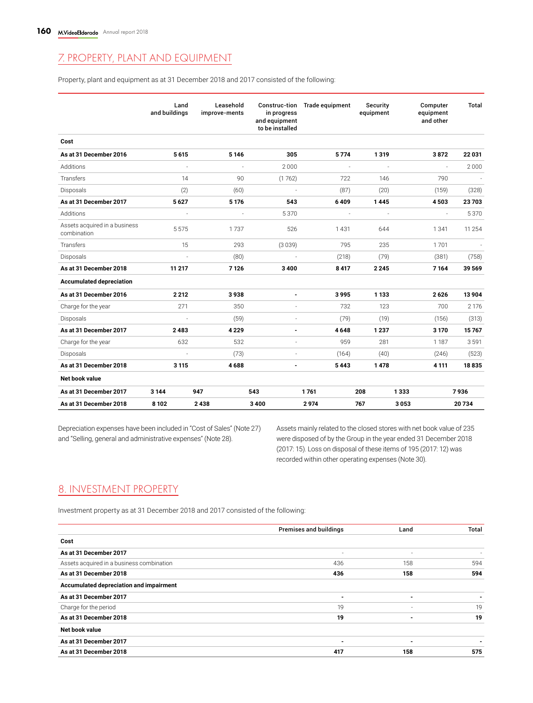# 7. PROPERTY, PLANT AND EQUIPMENT

Property, plant and equipment as at 31 December 2018 and 2017 consisted of the following:

|                                              | Land<br>and buildings | Leasehold<br>improve-ments | Construc-tion<br>in progress<br>and equipment<br>to be installed | <b>Trade equipment</b> | <b>Security</b><br>equipment | Computer<br>equipment<br>and other | Total   |
|----------------------------------------------|-----------------------|----------------------------|------------------------------------------------------------------|------------------------|------------------------------|------------------------------------|---------|
| Cost                                         |                       |                            |                                                                  |                        |                              |                                    |         |
| As at 31 December 2016                       | 5615                  | 5 1 4 6                    | 305                                                              | 5774                   | 1319                         | 3872                               | 22031   |
| Additions                                    | ä,                    | J.                         | 2000                                                             | ÷                      | J.                           | ÷,                                 | 2000    |
| Transfers                                    | 14                    | 90                         | (1762)                                                           | 722                    | 146                          | 790                                |         |
| Disposals                                    | (2)                   | (60)                       |                                                                  | (87)                   | (20)                         | (159)                              | (328)   |
| As at 31 December 2017                       | 5627                  | 5 1 7 6                    | 543                                                              | 6409                   | 1445                         | 4503                               | 23703   |
| Additions                                    | $\overline{a}$        | $\overline{a}$             | 5370                                                             | ×,                     | ä,                           | ä,                                 | 5370    |
| Assets acquired in a business<br>combination | 5575                  | 1737                       | 526                                                              | 1431                   | 644                          | 1341                               | 11 254  |
| Transfers                                    | 15                    | 293                        | (3039)                                                           | 795                    | 235                          | 1701                               |         |
| Disposals                                    | ä,                    | (80)                       | ×,                                                               | (218)                  | (79)                         | (381)                              | (758)   |
| As at 31 December 2018                       | 11 217                | 7 1 2 6                    | 3400                                                             | 8417                   | 2 2 4 5                      | 7164                               | 39 569  |
| <b>Accumulated depreciation</b>              |                       |                            |                                                                  |                        |                              |                                    |         |
| As at 31 December 2016                       | 2 2 1 2               | 3938                       | ä,                                                               | 3995                   | 1 1 3 3                      | 2626                               | 13 904  |
| Charge for the year                          | 271                   | 350                        | ٠                                                                | 732                    | 123                          | 700                                | 2 1 7 6 |
| Disposals                                    | ä,                    | (59)                       | ٠                                                                | (79)                   | (19)                         | (156)                              | (313)   |
| As at 31 December 2017                       | 2483                  | 4229                       | $\blacksquare$                                                   | 4648                   | 1 2 3 7                      | 3 1 7 0                            | 15767   |
| Charge for the year                          | 632                   | 532                        |                                                                  | 959                    | 281                          | 1 1 8 7                            | 3591    |
| Disposals                                    | ä,                    | (73)                       |                                                                  | (164)                  | (40)                         | (246)                              | (523)   |
| As at 31 December 2018                       | 3 1 1 5               | 4688                       | ٠                                                                | 5443                   | 1478                         | 4 1 1 1                            | 18835   |
| Net book value                               |                       |                            |                                                                  |                        |                              |                                    |         |
| As at 31 December 2017                       | 3 1 4 4               | 947                        | 543                                                              | 1761                   | 208                          | 1333                               | 7936    |
| As at 31 December 2018                       | 8 1 0 2               | 2438                       | 3400                                                             | 2974                   | 767                          | 3053                               | 20734   |

Depreciation expenses have been included in "Cost of Sales" (Note 27) and "Selling, general and administrative expenses" (Note 28).

Assets mainly related to the closed stores with net book value of 235 were disposed of by the Group in the year ended 31 December 2018 (2017: 15). Loss on disposal of these items of 195 (2017: 12) was recorded within other operating expenses (Note 30).

# 8. INVESTMENT PROPERTY

Investment property as at 31 December 2018 and 2017 consisted of the following:

|                                           | <b>Premises and buildings</b> | Land   | Total |
|-------------------------------------------|-------------------------------|--------|-------|
| Cost                                      |                               |        |       |
| As at 31 December 2017                    | ٠                             | ٠      | ٠     |
| Assets acquired in a business combination | 436                           | 158    | 594   |
| As at 31 December 2018                    | 436                           | 158    | 594   |
| Accumulated depreciation and impairment   |                               |        |       |
| As at 31 December 2017                    | ۰                             | -      |       |
| Charge for the period                     | 19                            | $\sim$ | 19    |
| As at 31 December 2018                    | 19                            | -      | 19    |
| Net book value                            |                               |        |       |
| As at 31 December 2017                    | $\blacksquare$                | ۰      |       |
| As at 31 December 2018                    | 417                           | 158    | 575   |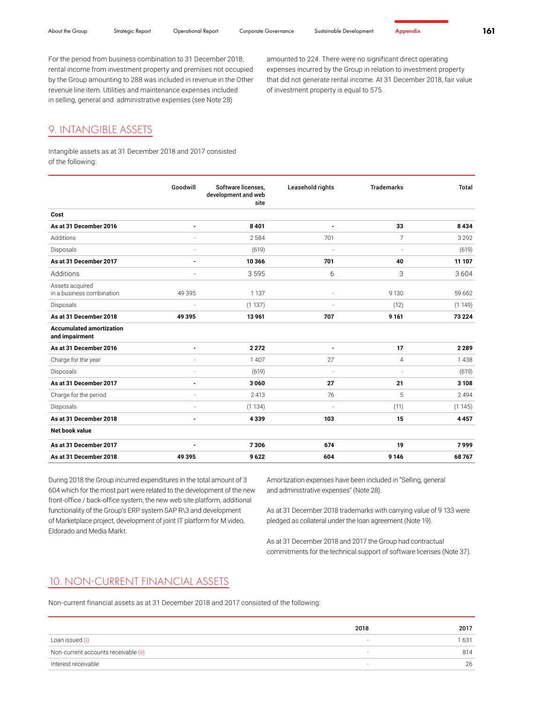For the period from business combination to 31 December 2018, rental income from investment property and premises not occupied by the Group amounting to 288 was included in revenue in the Other revenue line item. Utilities and maintenance expenses included in selling, general and administrative expenses (see Note 28)

amounted to 224. There were no significant direct operating expenses incurred by the Group in relation to investment property that did not generate rental income. At 31 December 2018, fair value of investment property is equal to 575.

# 9. INTANGIBLE ASSETS

Intangible assets as at 31 December 2018 and 2017 consisted of the following:

|                                                   | Goodwill                 | Software licenses,<br>development and web<br>site | Leasehold rights         | <b>Trademarks</b> | Total   |
|---------------------------------------------------|--------------------------|---------------------------------------------------|--------------------------|-------------------|---------|
| Cost                                              |                          |                                                   |                          |                   |         |
| As at 31 December 2016                            | $\overline{\phantom{a}}$ | 8401                                              | ٠                        | 33                | 8434    |
| Additions                                         |                          | 2584                                              | 701                      | $\overline{7}$    | 3 2 9 2 |
| Disposals                                         |                          | (619)                                             |                          | ä,                | (619)   |
| As at 31 December 2017                            | ۰                        | 10 366                                            | 701                      | 40                | 11 107  |
| Additions                                         |                          | 3595                                              | 6                        | 3                 | 3604    |
| Assets acquired<br>in a business combination      | 49 3 9 5                 | 1 1 3 7                                           |                          | 9 1 3 0           | 59 6 62 |
| Disposals                                         |                          | (1137)                                            |                          | (12)              | (1149)  |
| As at 31 December 2018                            | 49 395                   | 13961                                             | 707                      | 9 1 6 1           | 73 2 24 |
| <b>Accumulated amortization</b><br>and impairment |                          |                                                   |                          |                   |         |
| As at 31 December 2016                            | $\blacksquare$           | 2 2 7 2                                           | $\blacksquare$           | 17                | 2 2 8 9 |
| Charge for the year                               |                          | 1407                                              | 27                       | 4                 | 1438    |
| Disposals                                         |                          | (619)                                             | ×                        | ä,                | (619)   |
| As at 31 December 2017                            | ۰                        | 3060                                              | 27                       | 21                | 3 1 0 8 |
| Charge for the period                             |                          | 2413                                              | 76                       | 5                 | 2494    |
| Disposals                                         |                          | (1134)                                            | $\overline{\phantom{a}}$ | (11)              | (1145)  |
| As at 31 December 2018                            | $\blacksquare$           | 4339                                              | 103                      | 15                | 4457    |
| Net book value                                    |                          |                                                   |                          |                   |         |
| As at 31 December 2017                            | $\overline{\phantom{a}}$ | 7306                                              | 674                      | 19                | 7999    |
| As at 31 December 2018                            | 49 395                   | 9622                                              | 604                      | 9 1 4 6           | 68767   |

During 2018 the Group incurred expenditures in the total amount of 3 604 which for the most part were related to the development of the new front-office / back-office system, the new web site platform, additional functionality of the Group's ERP system SAP R\3 and development of Marketplace project, development of joint IT platform for M.video, Eldorado and Media Markt.

Amortization expenses have been included in "Selling, general and administrative expenses" (Note 28).

As at 31 December 2018 trademarks with carrying value of 9 133 were pledged as collateral under the loan agreement (Note 19).

As at 31 December 2018 and 2017 the Group had contractual commitments for the technical support of software licenses (Note 37).

# 10. NON-CURRENT FINANCIAL ASSETS

Non-current financial assets as at 31 December 2018 and 2017 consisted of the following:

|                                      | 2018 | 2017 |
|--------------------------------------|------|------|
| Loan issued (i)                      |      | 1631 |
| Non-current accounts receivable (ii) |      | 814  |
| Interest receivable                  |      | 26   |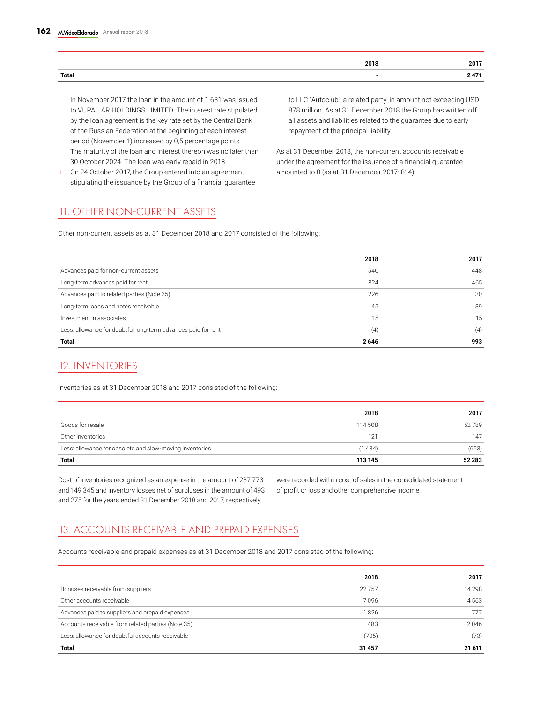|       | 2010<br>$- - - -$ |     |
|-------|-------------------|-----|
| Total |                   | . . |

- i. In November 2017 the loan in the amount of 1 631 was issued to VUPALIAR HOLDINGS LIMITED. The interest rate stipulated by the loan agreement is the key rate set by the Central Bank of the Russian Federation at the beginning of each interest period (November 1) increased by 0,5 percentage points. The maturity of the loan and interest thereon was no later than 30 October 2024. The loan was early repaid in 2018.
- ii. On 24 October 2017, the Group entered into an agreement stipulating the issuance by the Group of a financial guarantee

to LLC "Autoclub", a related party, in amount not exceeding USD 878 million. As at 31 December 2018 the Group has written off all assets and liabilities related to the guarantee due to early repayment of the principal liability.

As at 31 December 2018, the non-current accounts receivable under the agreement for the issuance of a financial guarantee amounted to 0 (as at 31 December 2017: 814).

# 11. OTHER NON-CURRENT ASSETS

Other non-current assets as at 31 December 2018 and 2017 consisted of the following:

|                                                               | 2018 | 2017 |
|---------------------------------------------------------------|------|------|
| Advances paid for non-current assets                          | 1540 | 448  |
| Long-term advances paid for rent                              | 824  | 465  |
| Advances paid to related parties (Note 35)                    | 226  | 30   |
| Long-term loans and notes receivable                          | 45   | 39   |
| Investment in associates                                      | 15   | 15   |
| Less: allowance for doubtful long-term advances paid for rent | (4)  | (4)  |
| Total                                                         | 2646 | 993  |

# 12. INVENTORIES

Inventories as at 31 December 2018 and 2017 consisted of the following:

|                                                          | 2018    | 2017   |
|----------------------------------------------------------|---------|--------|
| Goods for resale                                         | 114 508 | 52789  |
| Other inventories                                        | 121     | 147    |
| Less: allowance for obsolete and slow-moving inventories | (1484)  | (653)  |
| <b>Total</b>                                             | 113 145 | 52 283 |

Cost of inventories recognized as an expense in the amount of 237 773 and 149 345 and inventory losses net of surpluses in the amount of 493 and 275 for the years ended 31 December 2018 and 2017, respectively,

were recorded within cost of sales in the consolidated statement of profit or loss and other comprehensive income.

# 13. ACCOUNTS RECEIVABLE AND PREPAID EXPENSES

Accounts receivable and prepaid expenses as at 31 December 2018 and 2017 consisted of the following:

|                                                    | 2018   | 2017     |
|----------------------------------------------------|--------|----------|
| Bonuses receivable from suppliers                  | 22757  | 14 2 9 8 |
| Other accounts receivable                          | 7096   | 4563     |
| Advances paid to suppliers and prepaid expenses    | 1826   | 777      |
| Accounts receivable from related parties (Note 35) | 483    | 2046     |
| Less: allowance for doubtful accounts receivable   | (705)  | (73)     |
| <b>Total</b>                                       | 31 457 | 21 611   |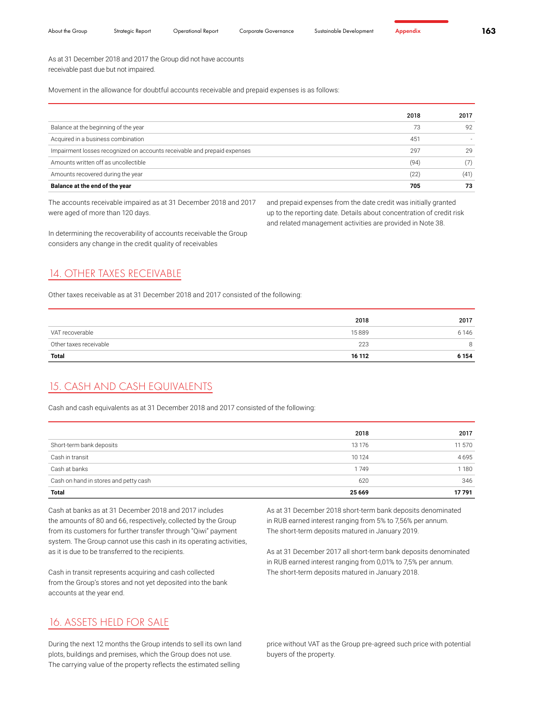As at 31 December 2018 and 2017 the Group did not have accounts receivable past due but not impaired.

Movement in the allowance for doubtful accounts receivable and prepaid expenses is as follows:

|                                                                          | 2018 | 2017 |
|--------------------------------------------------------------------------|------|------|
| Balance at the beginning of the year                                     | 73   | 92   |
| Acquired in a business combination                                       | 451  |      |
| Impairment losses recognized on accounts receivable and prepaid expenses | 297  | 29   |
| Amounts written off as uncollectible                                     | (94) | (7)  |
| Amounts recovered during the year                                        | (22) | (41) |
| Balance at the end of the year                                           | 705  | 73   |

The accounts receivable impaired as at 31 December 2018 and 2017 were aged of more than 120 days.

and prepaid expenses from the date credit was initially granted up to the reporting date. Details about concentration of credit risk and related management activities are provided in Note 38.

In determining the recoverability of accounts receivable the Group considers any change in the credit quality of receivables

# 14. OTHER TAXES RECEIVABLE

Other taxes receivable as at 31 December 2018 and 2017 consisted of the following:

|                        | 2018   | 2017    |
|------------------------|--------|---------|
| VAT recoverable        | 15889  | 6 1 4 6 |
| Other taxes receivable | 223    | 8       |
| <b>Total</b>           | 16 112 | 6 1 5 4 |

# 15. CASH AND CASH EQUIVALENTS

Cash and cash equivalents as at 31 December 2018 and 2017 consisted of the following:

|                                       | 2018     | 2017   |
|---------------------------------------|----------|--------|
| Short-term bank deposits              | 13 176   | 11 570 |
| Cash in transit                       | 10 1 24  | 4695   |
| Cash at banks                         | 1749     | 1 180  |
| Cash on hand in stores and petty cash | 620      | 346    |
| <b>Total</b>                          | 25 6 6 9 | 17 791 |

Cash at banks as at 31 December 2018 and 2017 includes the amounts of 80 and 66, respectively, collected by the Group from its customers for further transfer through "Qiwi" payment system. The Group cannot use this cash in its operating activities, as it is due to be transferred to the recipients.

Cash in transit represents acquiring and cash collected from the Group's stores and not yet deposited into the bank accounts at the year end.

### 16. ASSETS HELD FOR SALE

During the next 12 months the Group intends to sell its own land plots, buildings and premises, which the Group does not use. The carrying value of the property reflects the estimated selling

As at 31 December 2018 short-term bank deposits denominated in RUB earned interest ranging from 5% to 7,56% per annum. The short-term deposits matured in January 2019.

As at 31 December 2017 all short-term bank deposits denominated in RUB earned interest ranging from 0,01% to 7,5% per annum. The short-term deposits matured in January 2018.

price without VAT as the Group pre-agreed such price with potential buyers of the property.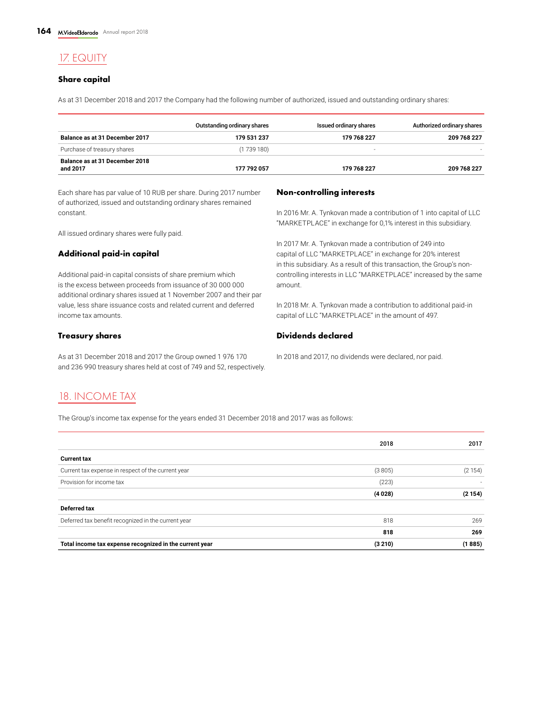# 17. EQUITY

#### **Share capital**

As at 31 December 2018 and 2017 the Company had the following number of authorized, issued and outstanding ordinary shares:

|                                                   | Outstanding ordinary shares | Issued ordinary shares | Authorized ordinary shares |
|---------------------------------------------------|-----------------------------|------------------------|----------------------------|
| Balance as at 31 December 2017                    | 179 531 237                 | 179 768 227            | 209 768 227                |
| Purchase of treasury shares                       | (1739180)                   |                        |                            |
| <b>Balance as at 31 December 2018</b><br>and 2017 | 177 792 057                 | 179 768 227            | 209 768 227                |

Each share has par value of 10 RUB per share. During 2017 number of authorized, issued and outstanding ordinary shares remained constant.

All issued ordinary shares were fully paid.

#### **Additional paid-in capital**

Additional paid-in capital consists of share premium which is the excess between proceeds from issuance of 30 000 000 additional ordinary shares issued at 1 November 2007 and their par value, less share issuance costs and related current and deferred income tax amounts.

### **Treasury shares**

As at 31 December 2018 and 2017 the Group owned 1 976 170 and 236 990 treasury shares held at cost of 749 and 52, respectively.

#### **Non-controlling interests**

In 2016 Mr. A. Tynkovan made a contribution of 1 into capital of LLC "MARKETPLACE" in exchange for 0,1% interest in this subsidiary.

In 2017 Mr. A. Tynkovan made a contribution of 249 into capital of LLC "MARKETPLACE" in exchange for 20% interest in this subsidiary. As a result of this transaction, the Group's noncontrolling interests in LLC "MARKETPLACE" increased by the same amount.

In 2018 Mr. A. Tynkovan made a contribution to additional paid-in capital of LLC "MARKETPLACE" in the amount of 497.

### **Dividends declared**

In 2018 and 2017, no dividends were declared, nor paid.

# 18. INCOME TAX

The Group's income tax expense for the years ended 31 December 2018 and 2017 was as follows:

|                                                         | 2018    | 2017   |
|---------------------------------------------------------|---------|--------|
| <b>Current tax</b>                                      |         |        |
| Current tax expense in respect of the current year      | (3805)  | (2154) |
| Provision for income tax                                | (223)   |        |
|                                                         | (4028)  | (2154) |
| Deferred tax                                            |         |        |
| Deferred tax benefit recognized in the current year     | 818     | 269    |
|                                                         | 818     | 269    |
| Total income tax expense recognized in the current year | (3 210) | (1885) |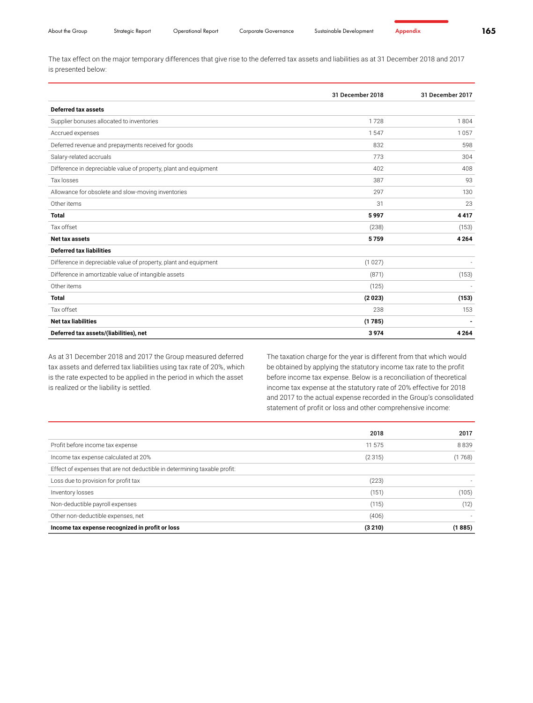The tax effect on the major temporary differences that give rise to the deferred tax assets and liabilities as at 31 December 2018 and 2017 is presented below:

|                                                                  | 31 December 2018 | 31 December 2017 |
|------------------------------------------------------------------|------------------|------------------|
| Deferred tax assets                                              |                  |                  |
| Supplier bonuses allocated to inventories                        | 1728             | 1804             |
| Accrued expenses                                                 | 1547             | 1057             |
| Deferred revenue and prepayments received for goods              | 832              | 598              |
| Salary-related accruals                                          | 773              | 304              |
| Difference in depreciable value of property, plant and equipment | 402              | 408              |
| Tax losses                                                       | 387              | 93               |
| Allowance for obsolete and slow-moving inventories               | 297              | 130              |
| Other items                                                      | 31               | 23               |
| <b>Total</b>                                                     | 5997             | 4417             |
| Tax offset                                                       | (238)            | (153)            |
| <b>Net tax assets</b>                                            | 5759             | 4 2 6 4          |
| <b>Deferred tax liabilities</b>                                  |                  |                  |
| Difference in depreciable value of property, plant and equipment | (1027)           | ٠                |
| Difference in amortizable value of intangible assets             | (871)            | (153)            |
| Other items                                                      | (125)            |                  |
| <b>Total</b>                                                     | (2023)           | (153)            |
| Tax offset                                                       | 238              | 153              |
| <b>Net tax liabilities</b>                                       | (1785)           |                  |
| Deferred tax assets/(liabilities), net                           | 3974             | 4 2 6 4          |

As at 31 December 2018 and 2017 the Group measured deferred tax assets and deferred tax liabilities using tax rate of 20%, which is the rate expected to be applied in the period in which the asset is realized or the liability is settled.

The taxation charge for the year is different from that which would be obtained by applying the statutory income tax rate to the profit before income tax expense. Below is a reconciliation of theoretical income tax expense at the statutory rate of 20% effective for 2018 and 2017 to the actual expense recorded in the Group's consolidated statement of profit or loss and other comprehensive income:

| Income tax expense recognized in profit or loss                           | (3 210) | (1885) |
|---------------------------------------------------------------------------|---------|--------|
| Other non-deductible expenses, net                                        | (406)   |        |
| Non-deductible payroll expenses                                           | (115)   | (12)   |
| Inventory losses                                                          | (151)   | (105)  |
| Loss due to provision for profit tax                                      | (223)   |        |
| Effect of expenses that are not deductible in determining taxable profit: |         |        |
| Income tax expense calculated at 20%                                      | (2315)  | (1768) |
| Profit before income tax expense                                          | 11 575  | 8839   |
|                                                                           | 2018    | 2017   |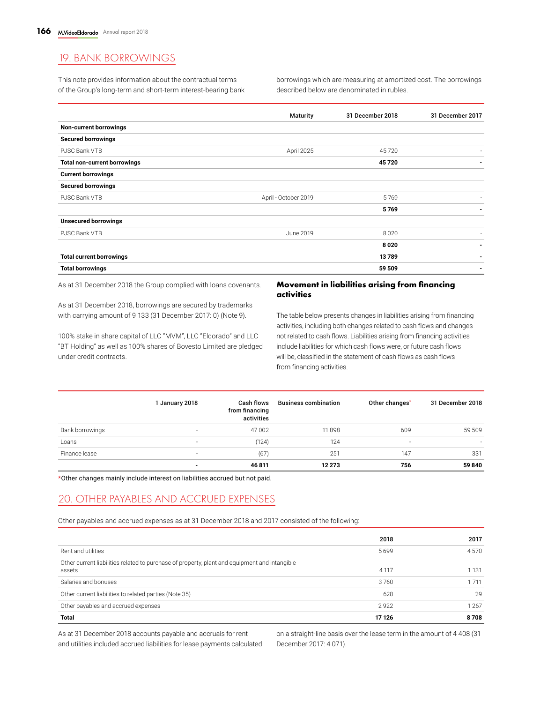# 19. BANK BORROWINGS

This note provides information about the contractual terms of the Group's long-term and short-term interest-bearing bank borrowings which are measuring at amortized cost. The borrowings described below are denominated in rubles.

|                                     | Maturity             | 31 December 2018 | 31 December 2017         |
|-------------------------------------|----------------------|------------------|--------------------------|
| <b>Non-current borrowings</b>       |                      |                  |                          |
| <b>Secured borrowings</b>           |                      |                  |                          |
| PJSC Bank VTB                       | April 2025           | 45720            |                          |
| <b>Total non-current borrowings</b> |                      | 45720            |                          |
| <b>Current borrowings</b>           |                      |                  |                          |
| <b>Secured borrowings</b>           |                      |                  |                          |
| PJSC Bank VTB                       | April - October 2019 | 5769             |                          |
|                                     |                      | 5769             | $\overline{\phantom{a}}$ |
| <b>Unsecured borrowings</b>         |                      |                  |                          |
| PJSC Bank VTB                       | June 2019            | 8020             | ٠                        |
|                                     |                      | 8020             | $\overline{\phantom{a}}$ |
| <b>Total current borrowings</b>     |                      | 13789            | $\blacksquare$           |
| <b>Total borrowings</b>             |                      | 59 509           | $\blacksquare$           |

As at 31 December 2018 the Group complied with loans covenants.

As at 31 December 2018, borrowings are secured by trademarks with carrying amount of 9 133 (31 December 2017: 0) (Note 9).

100% stake in share capital of LLC "MVM", LLC "Eldorado" and LLC "BT Holding" as well as 100% shares of Bovesto Limited are pledged under credit contracts.

### **Movement in liabilities arising from financing activities**

The table below presents changes in liabilities arising from financing activities, including both changes related to cash flows and changes not related to cash flows. Liabilities arising from financing activities include liabilities for which cash flows were, or future cash flows will be, classified in the statement of cash flows as cash flows from financing activities.

|                 | 1 January 2018 | Cash flows<br>from financing<br>activities | <b>Business combination</b> | Other changes* | 31 December 2018 |
|-----------------|----------------|--------------------------------------------|-----------------------------|----------------|------------------|
| Bank borrowings |                | 47 002                                     | 11898                       | 609            | 59 509           |
| Loans           | $\sim$         | (124)                                      | 124                         |                | $\sim$           |
| Finance lease   | $\sim$         | (67)                                       | 251                         | 147            | 331              |
|                 | ۰              | 46811                                      | 12 273                      | 756            | 59 840           |

\*Other changes mainly include interest on liabilities accrued but not paid.

# 20. OTHER PAYABLES AND ACCRUED EXPENSES

Other payables and accrued expenses as at 31 December 2018 and 2017 consisted of the following:

|                                                                                               | 2018    | 2017    |
|-----------------------------------------------------------------------------------------------|---------|---------|
| Rent and utilities                                                                            | 5699    | 4570    |
| Other current liabilities related to purchase of property, plant and equipment and intangible |         |         |
| assets                                                                                        | 4 1 1 7 | 1 1 3 1 |
| Salaries and bonuses                                                                          | 3760    | 1711    |
| Other current liabilities to related parties (Note 35)                                        | 628     | 29      |
| Other payables and accrued expenses                                                           | 2922    | 1 2 6 7 |
| <b>Total</b>                                                                                  | 17 126  | 8708    |

As at 31 December 2018 accounts payable and accruals for rent and utilities included accrued liabilities for lease payments calculated on a straight-line basis over the lease term in the amount of 4 408 (31 December 2017: 4 071).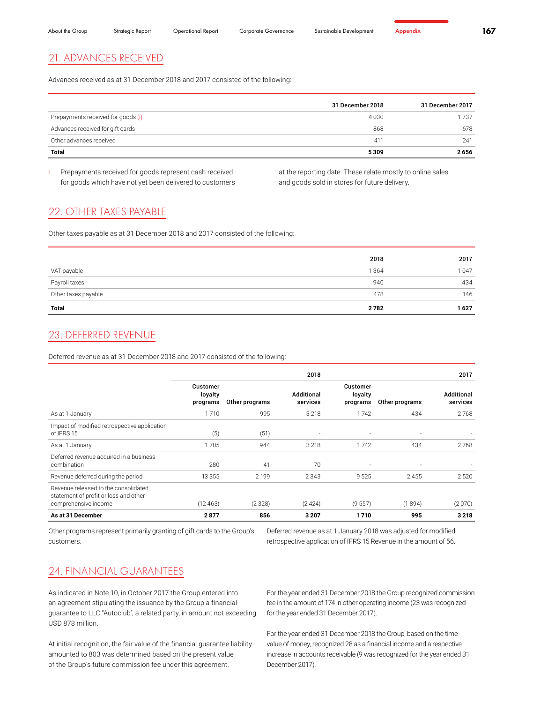### 21. ADVANCES RECEIVED

Advances received as at 31 December 2018 and 2017 consisted of the following:

|                                    | 31 December 2018 | 31 December 2017 |
|------------------------------------|------------------|------------------|
| Prepayments received for goods (i) | 4030             | 1 737            |
| Advances received for gift cards   | 868              | 678              |
| Other advances received            | 411              | 241              |
| <b>Total</b>                       | 5309             | 2 6 5 6          |

i. Prepayments received for goods represent cash received for goods which have not yet been delivered to customers at the reporting date. These relate mostly to online sales and goods sold in stores for future delivery.

# 22. OTHER TAXES PAYABLE

Other taxes payable as at 31 December 2018 and 2017 consisted of the following:

|                     | 2018 | 2017 |
|---------------------|------|------|
| VAT payable         | 1364 | 1047 |
| Payroll taxes       | 940  | 434  |
| Other taxes payable | 478  | 146  |
| <b>Total</b>        | 2782 | 1627 |

# 23. DEFERRED REVENUE

Deferred revenue as at 31 December 2018 and 2017 consisted of the following:

|                                                                                                       | 2018                            |                |                        |                                        |                | 2017                   |
|-------------------------------------------------------------------------------------------------------|---------------------------------|----------------|------------------------|----------------------------------------|----------------|------------------------|
|                                                                                                       | Customer<br>loyalty<br>programs | Other programs | Additional<br>services | <b>Customer</b><br>loyalty<br>programs | Other programs | Additional<br>services |
| As at 1 January                                                                                       | 1710                            | 995            | 3 2 1 8                | 1742                                   | 434            | 2768                   |
| Impact of modified retrospective application<br>of IFRS 15                                            | (5)                             | (51)           | ٠                      | ٠                                      | ٠              |                        |
| As at 1 January                                                                                       | 1705                            | 944            | 3 2 1 8                | 1742                                   | 434            | 2768                   |
| Deferred revenue acquired in a business<br>combination                                                | 280                             | 41             | 70                     | ۰                                      |                |                        |
| Revenue deferred during the period                                                                    | 13355                           | 2 1 9 9        | 2 3 4 3                | 9525                                   | 2455           | 2520                   |
| Revenue released to the consolidated<br>statement of profit or loss and other<br>comprehensive income | (12463)                         | (2328)         | (2424)                 | (9557)                                 | (1894)         | (2070)                 |
| As at 31 December                                                                                     | 2877                            | 856            | 3 2 0 7                | 1710                                   | 995            | 3 2 1 8                |

Other programs represent primarily granting of gift cards to the Group's customers.

Deferred revenue as at 1 January 2018 was adjusted for modified retrospective application of IFRS 15 Revenue in the amount of 56.

# 24. FINANCIAL GUARANTEES

As indicated in Note 10, in October 2017 the Group entered into an agreement stipulating the issuance by the Group a financial guarantee to LLC "Autoclub", a related party, in amount not exceeding USD 878 million.

At initial recognition, the fair value of the financial guarantee liability amounted to 803 was determined based on the present value of the Group's future commission fee under this agreement.

For the year ended 31 December 2018 the Group recognized commission fee in the amount of 174 in other operating income (23 was recognized for the year ended 31 December 2017).

For the year ended 31 December 2018 the Croup, based on the time value of money, recognized 28 as a financial income and a respective increase in accounts receivable (9 was recognized for the year ended 31 December 2017).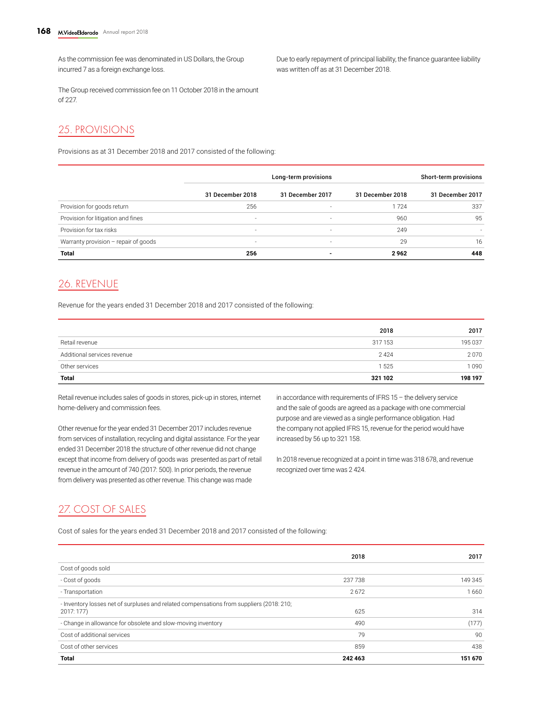As the commission fee was denominated in US Dollars, the Group incurred 7 as a foreign exchange loss.

Due to early repayment of principal liability, the finance guarantee liability was written off as at 31 December 2018.

The Group received commission fee on 11 October 2018 in the amount of 227.

# 25. PROVISIONS

Provisions as at 31 December 2018 and 2017 consisted of the following:

|                                      |                          | <b>Short-term provisions</b> |                  |                  |
|--------------------------------------|--------------------------|------------------------------|------------------|------------------|
|                                      | 31 December 2018         | 31 December 2017             | 31 December 2018 | 31 December 2017 |
| Provision for goods return           | 256                      |                              | 1724             | 337              |
| Provision for litigation and fines   | $\overline{\phantom{a}}$ | $\sim$                       | 960              | 95               |
| Provision for tax risks              | $\sim$                   |                              | 249              | $\sim$           |
| Warranty provision - repair of goods | $\overline{\phantom{a}}$ |                              | 29               | 16               |
| <b>Total</b>                         | 256                      |                              | 2962             | 448              |

# 26. REVENUE

Revenue for the years ended 31 December 2018 and 2017 consisted of the following:

|                             | 2018    | 2017    |
|-----------------------------|---------|---------|
|                             |         |         |
| Retail revenue              | 317 153 | 195 037 |
| Additional services revenue | 2424    | 2070    |
| Other services              | 1525    | 1090    |
| <b>Total</b>                | 321 102 | 198 197 |

Retail revenue includes sales of goods in stores, pick-up in stores, internet home-delivery and commission fees.

Other revenue for the year ended 31 December 2017 includes revenue from services of installation, recycling and digital assistance. For the year ended 31 December 2018 the structure of other revenue did not change except that income from delivery of goods was presented as part of retail revenue in the amount of 740 (2017: 500). In prior periods, the revenue from delivery was presented as other revenue. This change was made

in accordance with requirements of IFRS 15 – the delivery service and the sale of goods are agreed as a package with one commercial purpose and are viewed as a single performance obligation. Had the company not applied IFRS 15, revenue for the period would have increased by 56 up to 321 158.

In 2018 revenue recognized at a point in time was 318 678, and revenue recognized over time was 2 424.

# 27. COST OF SALES

Cost of sales for the years ended 31 December 2018 and 2017 consisted of the following:

|                                                                                                        | 2018    | 2017    |
|--------------------------------------------------------------------------------------------------------|---------|---------|
| Cost of goods sold                                                                                     |         |         |
| - Cost of goods                                                                                        | 237738  | 149 345 |
| - Transportation                                                                                       | 2672    | 1660    |
| - Inventory losses net of surpluses and related compensations from suppliers (2018: 210;<br>2017: 177) | 625     | 314     |
| - Change in allowance for obsolete and slow-moving inventory                                           | 490     | (177)   |
| Cost of additional services                                                                            | 79      | 90      |
| Cost of other services                                                                                 | 859     | 438     |
| <b>Total</b>                                                                                           | 242 463 | 151 670 |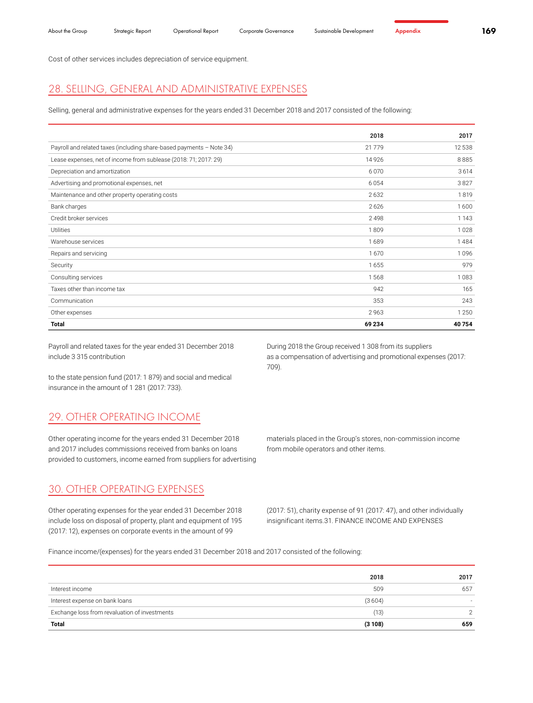Cost of other services includes depreciation of service equipment.

# 28. SELLING, GENERAL AND ADMINISTRATIVE EXPENSES

Selling, general and administrative expenses for the years ended 31 December 2018 and 2017 consisted of the following:

|                                                                      | 2018   | 2017    |
|----------------------------------------------------------------------|--------|---------|
| Payroll and related taxes (including share-based payments - Note 34) | 21779  | 12 5 38 |
| Lease expenses, net of income from sublease (2018: 71; 2017: 29)     | 14926  | 8885    |
| Depreciation and amortization                                        | 6070   | 3614    |
| Advertising and promotional expenses, net                            | 6054   | 3827    |
| Maintenance and other property operating costs                       | 2632   | 1819    |
| Bank charges                                                         | 2626   | 1600    |
| Credit broker services                                               | 2498   | 1 1 4 3 |
| <b>Utilities</b>                                                     | 1809   | 1028    |
| Warehouse services                                                   | 1689   | 1484    |
| Repairs and servicing                                                | 1670   | 1096    |
| Security                                                             | 1655   | 979     |
| Consulting services                                                  | 1568   | 1083    |
| Taxes other than income tax                                          | 942    | 165     |
| Communication                                                        | 353    | 243     |
| Other expenses                                                       | 2963   | 1 2 5 0 |
| <b>Total</b>                                                         | 69 234 | 40754   |

Payroll and related taxes for the year ended 31 December 2018 include 3 315 contribution

During 2018 the Group received 1 308 from its suppliers as a compensation of advertising and promotional expenses (2017: 709).

to the state pension fund (2017: 1 879) and social and medical insurance in the amount of 1 281 (2017: 733).

# 29. OTHER OPERATING INCOME

Other operating income for the years ended 31 December 2018 and 2017 includes commissions received from banks on loans provided to customers, income earned from suppliers for advertising

# 30. OTHER OPERATING EXPENSES

Other operating expenses for the year ended 31 December 2018 include loss on disposal of property, plant and equipment of 195 (2017: 12), expenses on corporate events in the amount of 99

materials placed in the Group's stores, non-commission income from mobile operators and other items.

(2017: 51), charity expense of 91 (2017: 47), and other individually insignificant items.31. FINANCE INCOME AND EXPENSES

Finance income/(expenses) for the years ended 31 December 2018 and 2017 consisted of the following:

|                                               | 2018   | 2017 |
|-----------------------------------------------|--------|------|
| Interest income                               | 509    | 657  |
| Interest expense on bank loans                | (3604) |      |
| Exchange loss from revaluation of investments | (13)   | ⌒    |
| Total                                         | (3108) | 659  |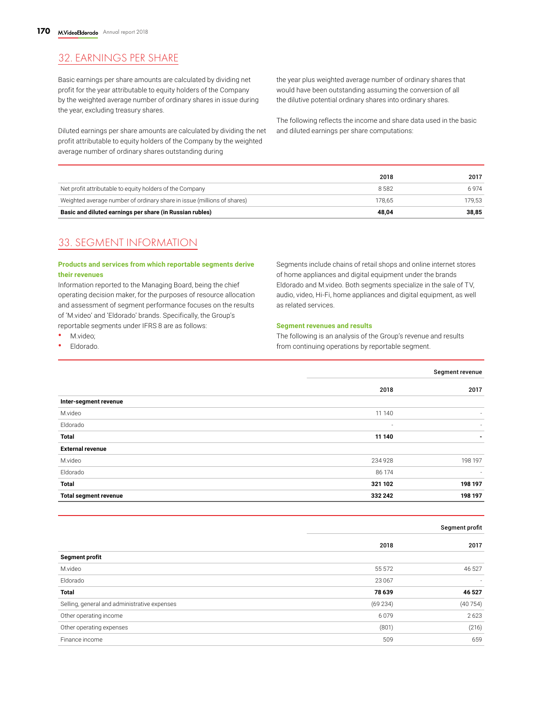# 32. EARNINGS PER SHARE

Basic earnings per share amounts are calculated by dividing net profit for the year attributable to equity holders of the Company by the weighted average number of ordinary shares in issue during the year, excluding treasury shares.

Diluted earnings per share amounts are calculated by dividing the net profit attributable to equity holders of the Company by the weighted average number of ordinary shares outstanding during

the year plus weighted average number of ordinary shares that would have been outstanding assuming the conversion of all the dilutive potential ordinary shares into ordinary shares.

The following reflects the income and share data used in the basic and diluted earnings per share computations:

|                                                                         | 2018   | 2017   |
|-------------------------------------------------------------------------|--------|--------|
| Net profit attributable to equity holders of the Company                | 8582   | 6974   |
| Weighted average number of ordinary share in issue (millions of shares) | 178.65 | 179.53 |
| Basic and diluted earnings per share (in Russian rubles)                | 48.04  | 38,85  |

# 33. SEGMENT INFORMATION

#### **Products and services from which reportable segments derive their revenues**

Information reported to the Managing Board, being the chief operating decision maker, for the purposes of resource allocation and assessment of segment performance focuses on the results of 'M.video' and 'Eldorado' brands. Specifically, the Group's reportable segments under IFRS 8 are as follows:

- **•** M.video;
- **•** Eldorado.

### Segments include chains of retail shops and online internet stores of home appliances and digital equipment under the brands Eldorado and M.video. Both segments specialize in the sale of TV, audio, video, Hi-Fi, home appliances and digital equipment, as well as related services.

#### **Segment revenues and results**

The following is an analysis of the Group's revenue and results from continuing operations by reportable segment.

|                              |                          | Segment revenue          |
|------------------------------|--------------------------|--------------------------|
|                              | 2018                     | 2017                     |
| Inter-segment revenue        |                          |                          |
| M.video                      | 11 140                   | $\sim$                   |
| Eldorado                     | $\overline{\phantom{a}}$ | ٠                        |
| <b>Total</b>                 | 11 140                   | $\overline{\phantom{0}}$ |
| <b>External revenue</b>      |                          |                          |
| M.video                      | 234 928                  | 198 197                  |
| Eldorado                     | 86 174                   | ٠                        |
| <b>Total</b>                 | 321 102                  | 198 197                  |
| <b>Total segment revenue</b> | 332 242                  | 198 197                  |
|                              |                          |                          |

|                                              |         | <b>Segment profit</b> |
|----------------------------------------------|---------|-----------------------|
|                                              | 2018    | 2017                  |
| <b>Segment profit</b>                        |         |                       |
| M.video                                      | 55 572  | 46 527                |
| Eldorado                                     | 23 067  |                       |
| <b>Total</b>                                 | 78 639  | 46 527                |
| Selling, general and administrative expenses | (69234) | (40754)               |
| Other operating income                       | 6079    | 2623                  |
| Other operating expenses                     | (801)   | (216)                 |
| Finance income                               | 509     | 659                   |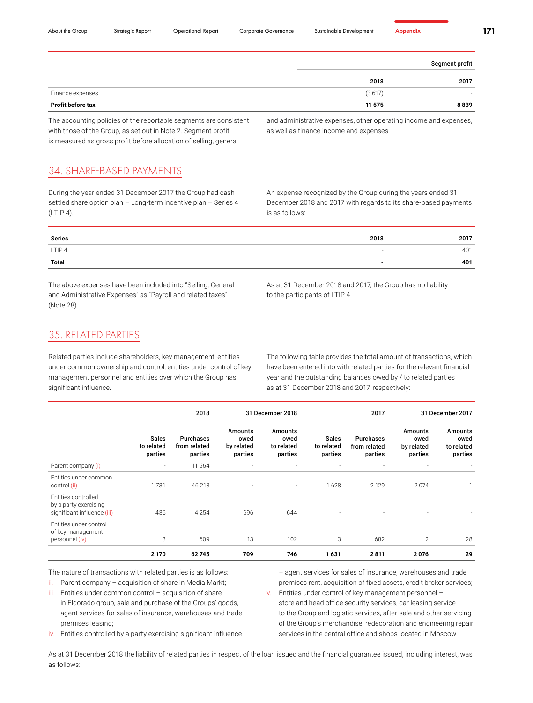|                   |        | <b>Segment profit</b> |
|-------------------|--------|-----------------------|
|                   | 2018   | 2017                  |
| Finance expenses  | (3617) |                       |
| Profit before tax | 11 575 | 8839                  |

The accounting policies of the reportable segments are consistent with those of the Group, as set out in Note 2. Segment profit is measured as gross profit before allocation of selling, general

and administrative expenses, other operating income and expenses, as well as finance income and expenses.

# 34. SHARE-BASED PAYMENTS

During the year ended 31 December 2017 the Group had cashsettled share option plan – Long-term incentive plan – Series 4 (LTIP 4).

An expense recognized by the Group during the years ended 31 December 2018 and 2017 with regards to its share-based payments is as follows:

| Series       | 2018                     | 2017 |
|--------------|--------------------------|------|
| LTIP 4       |                          | 401  |
| <b>Total</b> | $\overline{\phantom{a}}$ | 401  |

The above expenses have been included into "Selling, General and Administrative Expenses" as "Payroll and related taxes" (Note 28).

As at 31 December 2018 and 2017, the Group has no liability to the participants of LTIP 4.

# 35. RELATED PARTIES

Related parties include shareholders, key management, entities under common ownership and control, entities under control of key management personnel and entities over which the Group has significant influence.

The following table provides the total amount of transactions, which have been entered into with related parties for the relevant financial year and the outstanding balances owed by / to related parties as at 31 December 2018 and 2017, respectively:

|                                                                             |                                       | 2018                                 |                                          | 31 December 2018                         |                                       | 2017                                        |                                                 | 31 December 2017                         |  |
|-----------------------------------------------------------------------------|---------------------------------------|--------------------------------------|------------------------------------------|------------------------------------------|---------------------------------------|---------------------------------------------|-------------------------------------------------|------------------------------------------|--|
|                                                                             | <b>Sales</b><br>to related<br>parties | Purchases<br>from related<br>parties | Amounts<br>owed<br>by related<br>parties | Amounts<br>owed<br>to related<br>parties | <b>Sales</b><br>to related<br>parties | <b>Purchases</b><br>from related<br>parties | <b>Amounts</b><br>owed<br>by related<br>parties | Amounts<br>owed<br>to related<br>parties |  |
| Parent company (i)                                                          | ٠                                     | 11 6 6 4                             | ٠                                        | $\overline{\phantom{a}}$                 | ٠                                     | ٠                                           | ٠                                               | ۰.                                       |  |
| Entities under common<br>control (ii)                                       | 1731                                  | 46 218                               | ٠.                                       | $\overline{\phantom{a}}$                 | 1628                                  | 2 1 2 9                                     | 2074                                            |                                          |  |
| Entities controlled<br>by a party exercising<br>significant influence (iii) | 436                                   | 4254                                 | 696                                      | 644                                      | $\overline{\phantom{a}}$              | ٠                                           | $\overline{\phantom{a}}$                        | ٠.                                       |  |
| Entities under control<br>of key management<br>personnel (iv)               | 3                                     | 609                                  | 13                                       | 102                                      | 3                                     | 682                                         | $\overline{2}$                                  | 28                                       |  |
|                                                                             | 2 1 7 0                               | 62745                                | 709                                      | 746                                      | 1631                                  | 2811                                        | 2076                                            | 29                                       |  |

The nature of transactions with related parties is as follows:

ii. Parent company – acquisition of share in Media Markt;  $iii.$  Entities under common control – acquisition of share in Eldorado group, sale and purchase of the Groups' goods, agent services for sales of insurance, warehouses and trade

premises leasing;

– agent services for sales of insurance, warehouses and trade premises rent, acquisition of fixed assets, credit broker services;

Entities under control of key management personnel – store and head office security services, car leasing service to the Group and logistic services, after-sale and other servicing of the Group's merchandise, redecoration and engineering repair services in the central office and shops located in Moscow.

iv. Entities controlled by a party exercising significant influence

As at 31 December 2018 the liability of related parties in respect of the loan issued and the financial guarantee issued, including interest, was as follows: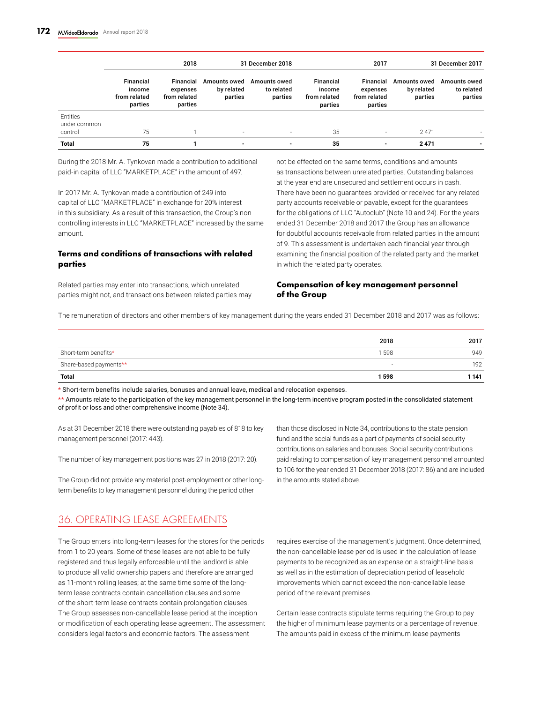|                                            | 2018                                           |                                                  |                                       | 31 December 2018                      |                                                | 2017                                             |                                       | 31 December 2017                      |
|--------------------------------------------|------------------------------------------------|--------------------------------------------------|---------------------------------------|---------------------------------------|------------------------------------------------|--------------------------------------------------|---------------------------------------|---------------------------------------|
|                                            | Financial<br>income<br>from related<br>parties | Financial<br>expenses<br>from related<br>parties | Amounts owed<br>by related<br>parties | Amounts owed<br>to related<br>parties | Financial<br>income<br>from related<br>parties | Financial<br>expenses<br>from related<br>parties | Amounts owed<br>by related<br>parties | Amounts owed<br>to related<br>parties |
| <b>Entities</b><br>under common<br>control | 75                                             |                                                  | $\sim$                                | $\sim$                                | 35                                             | ٠                                                | 2471                                  |                                       |
| <b>Total</b>                               | 75                                             |                                                  | ٠                                     | ۰                                     | 35                                             | ۰                                                | 2471                                  |                                       |

During the 2018 Mr. A. Tynkovan made a contribution to additional paid-in capital of LLC "MARKETPLACE" in the amount of 497.

In 2017 Mr. A. Tynkovan made a contribution of 249 into capital of LLC "MARKETPLACE" in exchange for 20% interest in this subsidiary. As a result of this transaction, the Group's noncontrolling interests in LLC "MARKETPLACE" increased by the same amount.

### **Terms and conditions of transactions with related parties**

Related parties may enter into transactions, which unrelated parties might not, and transactions between related parties may not be effected on the same terms, conditions and amounts as transactions between unrelated parties. Outstanding balances at the year end are unsecured and settlement occurs in cash. There have been no guarantees provided or received for any related party accounts receivable or payable, except for the guarantees for the obligations of LLC "Autoclub" (Note 10 and 24). For the years ended 31 December 2018 and 2017 the Group has an allowance for doubtful accounts receivable from related parties in the amount of 9. This assessment is undertaken each financial year through examining the financial position of the related party and the market in which the related party operates.

### **Compensation of key management personnel of the Group**

The remuneration of directors and other members of key management during the years ended 31 December 2018 and 2017 was as follows:

| <b>Total</b>           | 1598 | 1 141 |
|------------------------|------|-------|
| Share-based payments** |      | 192   |
| Short-term benefits*   | 1598 | 949   |
|                        | 2018 | 2017  |

\* Short-term benefits include salaries, bonuses and annual leave, medical and relocation expenses.

\*\* Amounts relate to the participation of the key management personnel in the long-term incentive program posted in the consolidated statement of profit or loss and other comprehensive income (Note 34).

As at 31 December 2018 there were outstanding payables of 818 to key management personnel (2017: 443).

The number of key management positions was 27 in 2018 (2017: 20).

The Group did not provide any material post-employment or other longterm benefits to key management personnel during the period other

than those disclosed in Note 34, contributions to the state pension fund and the social funds as a part of payments of social security contributions on salaries and bonuses. Social security contributions paid relating to compensation of key management personnel amounted to 106 for the year ended 31 December 2018 (2017: 86) and are included in the amounts stated above.

# 36. OPERATING LEASE AGREEMENTS

The Group enters into long-term leases for the stores for the periods from 1 to 20 years. Some of these leases are not able to be fully registered and thus legally enforceable until the landlord is able to produce all valid ownership papers and therefore are arranged as 11-month rolling leases; at the same time some of the longterm lease contracts contain cancellation clauses and some of the short-term lease contracts contain prolongation clauses. The Group assesses non-cancellable lease period at the inception or modification of each operating lease agreement. The assessment considers legal factors and economic factors. The assessment

requires exercise of the management's judgment. Once determined, the non-cancellable lease period is used in the calculation of lease payments to be recognized as an expense on a straight-line basis as well as in the estimation of depreciation period of leasehold improvements which cannot exceed the non-cancellable lease period of the relevant premises.

Certain lease contracts stipulate terms requiring the Group to pay the higher of minimum lease payments or a percentage of revenue. The amounts paid in excess of the minimum lease payments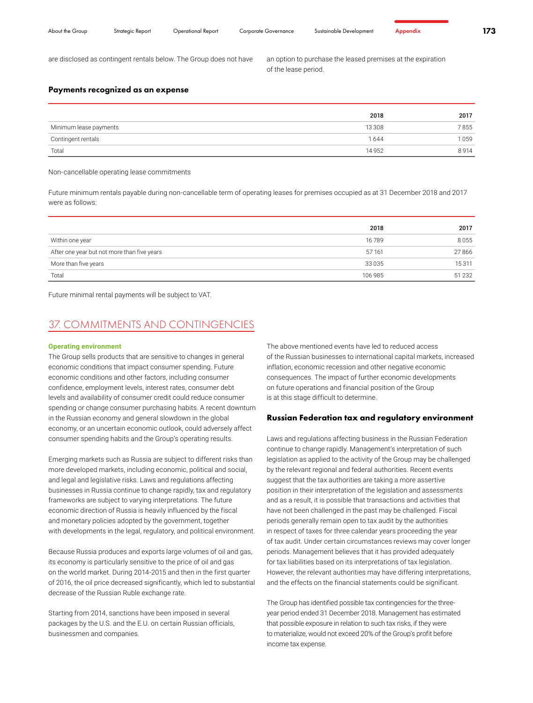are disclosed as contingent rentals below. The Group does not have an option to purchase the leased premises at the expiration

of the lease period.

#### Payments recognized as an expense

|                        | 2018     | 2017 |
|------------------------|----------|------|
| Minimum lease payments | 13 3 0 8 | 7855 |
| Contingent rentals     | 1644     | 059  |
| Total                  | 14 9 52  | 8914 |
|                        |          |      |

Non-cancellable operating lease commitments

Future minimum rentals payable during non-cancellable term of operating leases for premises occupied as at 31 December 2018 and 2017 were as follows:

|                                             | 2018    | 2017   |
|---------------------------------------------|---------|--------|
| Within one year                             | 16789   | 8055   |
| After one year but not more than five years | 57 161  | 27866  |
| More than five years                        | 33035   | 15311  |
| Total                                       | 106 985 | 51 232 |

Future minimal rental payments will be subject to VAT.

# 37. COMMITMENTS AND CONTINGENCIES

#### **Operating environment**

The Group sells products that are sensitive to changes in general economic conditions that impact consumer spending. Future economic conditions and other factors, including consumer confidence, employment levels, interest rates, consumer debt levels and availability of consumer credit could reduce consumer spending or change consumer purchasing habits. A recent downturn in the Russian economy and general slowdown in the global economy, or an uncertain economic outlook, could adversely affect consumer spending habits and the Group's operating results.

Emerging markets such as Russia are subject to different risks than more developed markets, including economic, political and social, and legal and legislative risks. Laws and regulations affecting businesses in Russia continue to change rapidly, tax and regulatory frameworks are subject to varying interpretations. The future economic direction of Russia is heavily influenced by the fiscal and monetary policies adopted by the government, together with developments in the legal, regulatory, and political environment.

Because Russia produces and exports large volumes of oil and gas, its economy is particularly sensitive to the price of oil and gas on the world market. During 2014-2015 and then in the first quarter of 2016, the oil price decreased significantly, which led to substantial decrease of the Russian Ruble exchange rate.

Starting from 2014, sanctions have been imposed in several packages by the U.S. and the E.U. on certain Russian officials, businessmen and companies.

The above mentioned events have led to reduced access of the Russian businesses to international capital markets, increased inflation, economic recession and other negative economic consequences. The impact of further economic developments on future operations and financial position of the Group is at this stage difficult to determine.

#### **Russian Federation tax and regulatory environment**

Laws and regulations affecting business in the Russian Federation continue to change rapidly. Management's interpretation of such legislation as applied to the activity of the Group may be challenged by the relevant regional and federal authorities. Recent events suggest that the tax authorities are taking a more assertive position in their interpretation of the legislation and assessments and as a result, it is possible that transactions and activities that have not been challenged in the past may be challenged. Fiscal periods generally remain open to tax audit by the authorities in respect of taxes for three calendar years proceeding the year of tax audit. Under certain circumstances reviews may cover longer periods. Management believes that it has provided adequately for tax liabilities based on its interpretations of tax legislation. However, the relevant authorities may have differing interpretations, and the effects on the financial statements could be significant.

The Group has identified possible tax contingencies for the threeyear period ended 31 December 2018. Management has estimated that possible exposure in relation to such tax risks, if they were to materialize, would not exceed 20% of the Group's profit before income tax expense.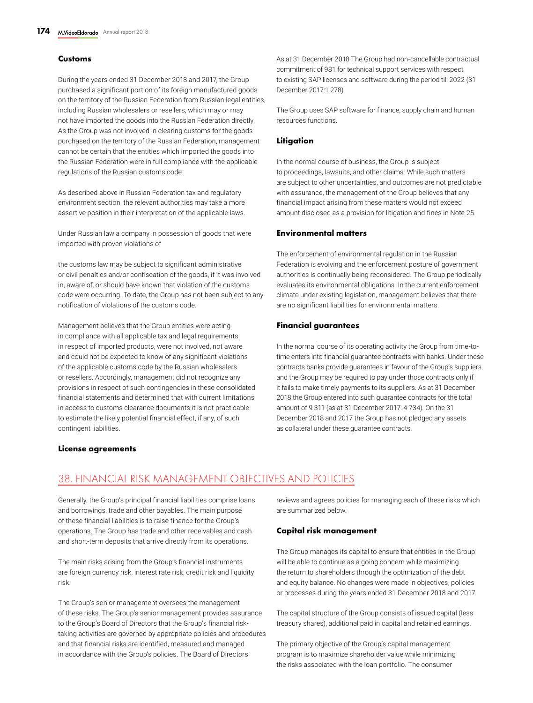#### **Customs**

During the years ended 31 December 2018 and 2017, the Group purchased a significant portion of its foreign manufactured goods on the territory of the Russian Federation from Russian legal entities, including Russian wholesalers or resellers, which may or may not have imported the goods into the Russian Federation directly. As the Group was not involved in clearing customs for the goods purchased on the territory of the Russian Federation, management cannot be certain that the entities which imported the goods into the Russian Federation were in full compliance with the applicable regulations of the Russian customs code.

As described above in Russian Federation tax and regulatory environment section, the relevant authorities may take a more assertive position in their interpretation of the applicable laws.

Under Russian law a company in possession of goods that were imported with proven violations of

the customs law may be subject to significant administrative or civil penalties and/or confiscation of the goods, if it was involved in, aware of, or should have known that violation of the customs code were occurring. To date, the Group has not been subject to any notification of violations of the customs code.

Management believes that the Group entities were acting in compliance with all applicable tax and legal requirements in respect of imported products, were not involved, not aware and could not be expected to know of any significant violations of the applicable customs code by the Russian wholesalers or resellers. Accordingly, management did not recognize any provisions in respect of such contingencies in these consolidated financial statements and determined that with current limitations in access to customs clearance documents it is not practicable to estimate the likely potential financial effect, if any, of such contingent liabilities.

As at 31 December 2018 The Group had non-cancellable contractual commitment of 981 for technical support services with respect to existing SAP licenses and software during the period till 2022 (31 December 2017:1 278).

The Group uses SAP software for finance, supply chain and human resources functions.

### **Litigation**

In the normal course of business, the Group is subject to proceedings, lawsuits, and other claims. While such matters are subject to other uncertainties, and outcomes are not predictable with assurance, the management of the Group believes that any financial impact arising from these matters would not exceed amount disclosed as a provision for litigation and fines in Note 25.

### **Environmental matters**

The enforcement of environmental regulation in the Russian Federation is evolving and the enforcement posture of government authorities is continually being reconsidered. The Group periodically evaluates its environmental obligations. In the current enforcement climate under existing legislation, management believes that there are no significant liabilities for environmental matters.

#### **Financial guarantees**

In the normal course of its operating activity the Group from time-totime enters into financial guarantee contracts with banks. Under these contracts banks provide guarantees in favour of the Group's suppliers and the Group may be required to pay under those contracts only if it fails to make timely payments to its suppliers. As at 31 December 2018 the Group entered into such guarantee contracts for the total amount of 9 311 (as at 31 December 2017: 4 734). On the 31 December 2018 and 2017 the Group has not pledged any assets as collateral under these guarantee contracts.

#### **License agreements**

### 38. FINANCIAL RISK MANAGEMENT OBJECTIVES AND POLICIES

Generally, the Group's principal financial liabilities comprise loans and borrowings, trade and other payables. The main purpose of these financial liabilities is to raise finance for the Group's operations. The Group has trade and other receivables and cash and short-term deposits that arrive directly from its operations.

The main risks arising from the Group's financial instruments are foreign currency risk, interest rate risk, credit risk and liquidity risk.

The Group's senior management oversees the management of these risks. The Group's senior management provides assurance to the Group's Board of Directors that the Group's financial risktaking activities are governed by appropriate policies and procedures and that financial risks are identified, measured and managed in accordance with the Group's policies. The Board of Directors

reviews and agrees policies for managing each of these risks which are summarized below.

#### **Capital risk management**

The Group manages its capital to ensure that entities in the Group will be able to continue as a going concern while maximizing the return to shareholders through the optimization of the debt and equity balance. No changes were made in objectives, policies or processes during the years ended 31 December 2018 and 2017.

The capital structure of the Group consists of issued capital (less treasury shares), additional paid in capital and retained earnings.

The primary objective of the Group's capital management program is to maximize shareholder value while minimizing the risks associated with the loan portfolio. The consumer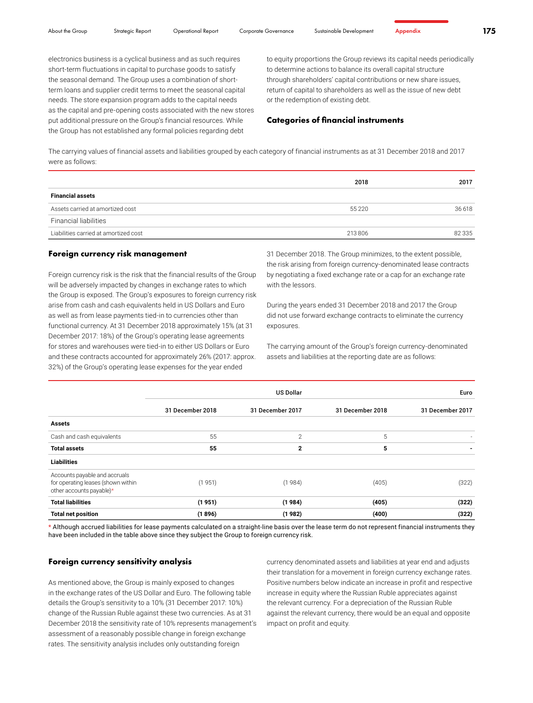electronics business is a cyclical business and as such requires short-term fluctuations in capital to purchase goods to satisfy the seasonal demand. The Group uses a combination of shortterm loans and supplier credit terms to meet the seasonal capital needs. The store expansion program adds to the capital needs as the capital and pre-opening costs associated with the new stores put additional pressure on the Group's financial resources. While the Group has not established any formal policies regarding debt

to equity proportions the Group reviews its capital needs periodically to determine actions to balance its overall capital structure through shareholders' capital contributions or new share issues, return of capital to shareholders as well as the issue of new debt or the redemption of existing debt.

#### **Categories of financial instruments**

The carrying values of financial assets and liabilities grouped by each category of financial instruments as at 31 December 2018 and 2017 were as follows:

|                                       | 2018    | 2017   |
|---------------------------------------|---------|--------|
| <b>Financial assets</b>               |         |        |
| Assets carried at amortized cost      | 55 2 20 | 36 618 |
| <b>Financial liabilities</b>          |         |        |
| Liabilities carried at amortized cost | 213806  | 82 335 |

#### **Foreign currency risk management**

Foreign currency risk is the risk that the financial results of the Group will be adversely impacted by changes in exchange rates to which the Group is exposed. The Group's exposures to foreign currency risk arise from cash and cash equivalents held in US Dollars and Euro as well as from lease payments tied-in to currencies other than functional currency. At 31 December 2018 approximately 15% (at 31 December 2017: 18%) of the Group's operating lease agreements for stores and warehouses were tied-in to either US Dollars or Euro and these contracts accounted for approximately 26% (2017: approx. 32%) of the Group's operating lease expenses for the year ended

31 December 2018. The Group minimizes, to the extent possible, the risk arising from foreign currency-denominated lease contracts by negotiating a fixed exchange rate or a cap for an exchange rate with the lessors.

During the years ended 31 December 2018 and 2017 the Group did not use forward exchange contracts to eliminate the currency exposures.

The carrying amount of the Group's foreign currency-denominated assets and liabilities at the reporting date are as follows:

|                                                                                                 |                  | Euro                                 |       |                  |  |
|-------------------------------------------------------------------------------------------------|------------------|--------------------------------------|-------|------------------|--|
|                                                                                                 | 31 December 2018 | 31 December 2017<br>31 December 2018 |       | 31 December 2017 |  |
| <b>Assets</b>                                                                                   |                  |                                      |       |                  |  |
| Cash and cash equivalents                                                                       | 55               | $\overline{2}$                       | 5     |                  |  |
| <b>Total assets</b>                                                                             | 55               | $\mathbf{2}$                         | 5     |                  |  |
| <b>Liabilities</b>                                                                              |                  |                                      |       |                  |  |
| Accounts payable and accruals<br>for operating leases (shown within<br>other accounts payable)* | (1951)           | (1984)                               | (405) | (322)            |  |
| <b>Total liabilities</b>                                                                        | (1951)           | (1984)                               | (405) | (322)            |  |
| <b>Total net position</b>                                                                       | (1896)           | (1982)                               | (400) | (322)            |  |

\* Although accrued liabilities for lease payments calculated on a straight-line basis over the lease term do not represent financial instruments they have been included in the table above since they subject the Group to foreign currency risk.

#### **Foreign currency sensitivity analysis**

As mentioned above, the Group is mainly exposed to changes in the exchange rates of the US Dollar and Euro. The following table details the Group's sensitivity to a 10% (31 December 2017: 10%) change of the Russian Ruble against these two currencies. As at 31 December 2018 the sensitivity rate of 10% represents management's assessment of a reasonably possible change in foreign exchange rates. The sensitivity analysis includes only outstanding foreign

currency denominated assets and liabilities at year end and adjusts their translation for a movement in foreign currency exchange rates. Positive numbers below indicate an increase in profit and respective increase in equity where the Russian Ruble appreciates against the relevant currency. For a depreciation of the Russian Ruble against the relevant currency, there would be an equal and opposite impact on profit and equity.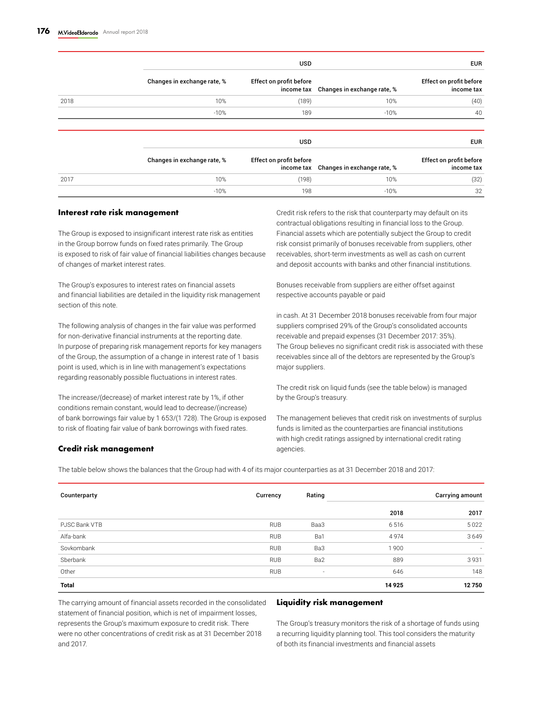|      |                             | <b>USD</b>                            |                             | <b>EUR</b>                            |
|------|-----------------------------|---------------------------------------|-----------------------------|---------------------------------------|
|      | Changes in exchange rate, % | Effect on profit before<br>income tax | Changes in exchange rate, % | Effect on profit before<br>income tax |
| 2018 | 10%                         | (189)                                 | 10%                         | (40)                                  |
|      | $-10%$                      | 189                                   | $-10%$                      | 40                                    |
|      |                             | <b>USD</b>                            |                             | <b>EUR</b>                            |
|      | Changes in exchange rate, % | Effect on profit before<br>income tax | Changes in exchange rate, % | Effect on profit before<br>income tax |
| 2017 | 10%                         | (198)                                 | 10%                         | (32)                                  |
|      | $-10%$                      | 198                                   | $-10%$                      | 32                                    |

#### **Interest rate risk management**

The Group is exposed to insignificant interest rate risk as entities in the Group borrow funds on fixed rates primarily. The Group is exposed to risk of fair value of financial liabilities changes because of changes of market interest rates.

The Group's exposures to interest rates on financial assets and financial liabilities are detailed in the liquidity risk management section of this note.

The following analysis of changes in the fair value was performed for non-derivative financial instruments at the reporting date. In purpose of preparing risk management reports for key managers of the Group, the assumption of a change in interest rate of 1 basis point is used, which is in line with management's expectations regarding reasonably possible fluctuations in interest rates.

The increase/(decrease) of market interest rate by 1%, if other conditions remain constant, would lead to decrease/(increase) of bank borrowings fair value by 1 653/(1 728). The Group is exposed to risk of floating fair value of bank borrowings with fixed rates.

Credit risk refers to the risk that counterparty may default on its contractual obligations resulting in financial loss to the Group. Financial assets which are potentially subject the Group to credit risk consist primarily of bonuses receivable from suppliers, other receivables, short-term investments as well as cash on current and deposit accounts with banks and other financial institutions.

Bonuses receivable from suppliers are either offset against respective accounts payable or paid

in cash. At 31 December 2018 bonuses receivable from four major suppliers comprised 29% of the Group's consolidated accounts receivable and prepaid expenses (31 December 2017: 35%). The Group believes no significant credit risk is associated with these receivables since all of the debtors are represented by the Group's major suppliers.

The credit risk on liquid funds (see the table below) is managed by the Group's treasury.

The management believes that credit risk on investments of surplus funds is limited as the counterparties are financial institutions with high credit ratings assigned by international credit rating agencies.

### **Credit risk management**

The table below shows the balances that the Group had with 4 of its major counterparties as at 31 December 2018 and 2017:

| Counterparty  | Currency   | Rating                   |       | Carrying amount |
|---------------|------------|--------------------------|-------|-----------------|
|               |            |                          | 2018  | 2017            |
| PJSC Bank VTB | <b>RUB</b> | Baa3                     | 6516  | 5022            |
| Alfa-bank     | <b>RUB</b> | Ba1                      | 4974  | 3649            |
| Sovkombank    | <b>RUB</b> | Ba3                      | 1900  | ۰.              |
| Sberbank      | <b>RUB</b> | Ba2                      | 889   | 3931            |
| Other         | <b>RUB</b> | $\overline{\phantom{a}}$ | 646   | 148             |
| <b>Total</b>  |            |                          | 14925 | 12750           |

The carrying amount of financial assets recorded in the consolidated statement of financial position, which is net of impairment losses, represents the Group's maximum exposure to credit risk. There were no other concentrations of credit risk as at 31 December 2018 and 2017.

### **Liquidity risk management**

The Group's treasury monitors the risk of a shortage of funds using a recurring liquidity planning tool. This tool considers the maturity of both its financial investments and financial assets